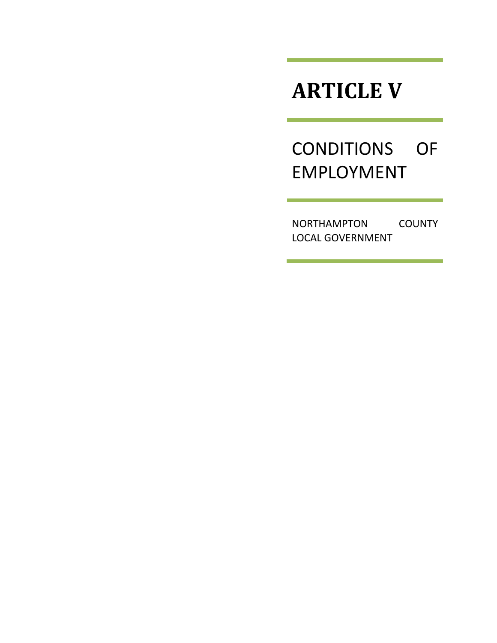# **ARTICLE V**

# CONDITIONS OF EMPLOYMENT

NORTHAMPTON COUNTY LOCAL GOVERNMENT

 $\mathcal{L}(\mathcal{L}(\mathcal{L}))$  is a subset of the set of  $\mathcal{L}(\mathcal{L})$  . The set of the set of  $\mathcal{L}(\mathcal{L})$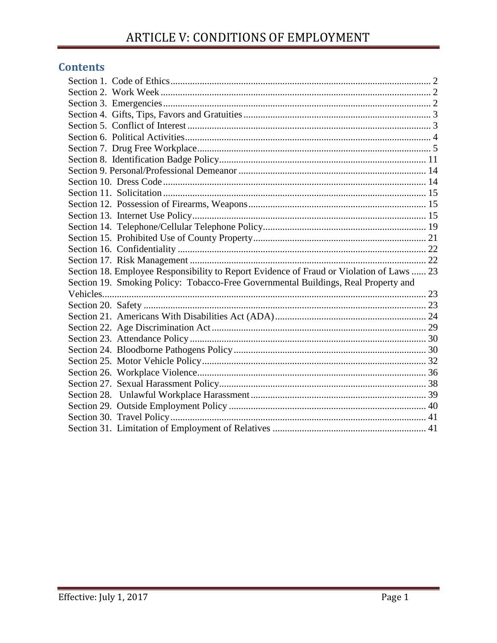# **Contents**

| Section 18. Employee Responsibility to Report Evidence of Fraud or Violation of Laws  23 |  |
|------------------------------------------------------------------------------------------|--|
| Section 19. Smoking Policy: Tobacco-Free Governmental Buildings, Real Property and       |  |
|                                                                                          |  |
|                                                                                          |  |
|                                                                                          |  |
|                                                                                          |  |
|                                                                                          |  |
|                                                                                          |  |
|                                                                                          |  |
|                                                                                          |  |
|                                                                                          |  |
|                                                                                          |  |
|                                                                                          |  |
|                                                                                          |  |
|                                                                                          |  |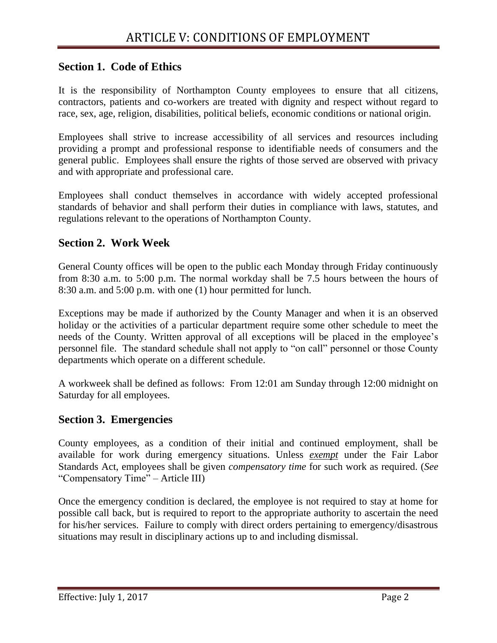# <span id="page-2-0"></span>**Section 1. Code of Ethics**

It is the responsibility of Northampton County employees to ensure that all citizens, contractors, patients and co-workers are treated with dignity and respect without regard to race, sex, age, religion, disabilities, political beliefs, economic conditions or national origin.

Employees shall strive to increase accessibility of all services and resources including providing a prompt and professional response to identifiable needs of consumers and the general public. Employees shall ensure the rights of those served are observed with privacy and with appropriate and professional care.

Employees shall conduct themselves in accordance with widely accepted professional standards of behavior and shall perform their duties in compliance with laws, statutes, and regulations relevant to the operations of Northampton County.

# <span id="page-2-1"></span>**Section 2. Work Week**

General County offices will be open to the public each Monday through Friday continuously from 8:30 a.m. to 5:00 p.m. The normal workday shall be 7.5 hours between the hours of 8:30 a.m. and 5:00 p.m. with one (1) hour permitted for lunch.

Exceptions may be made if authorized by the County Manager and when it is an observed holiday or the activities of a particular department require some other schedule to meet the needs of the County. Written approval of all exceptions will be placed in the employee's personnel file. The standard schedule shall not apply to "on call" personnel or those County departments which operate on a different schedule.

A workweek shall be defined as follows: From 12:01 am Sunday through 12:00 midnight on Saturday for all employees.

## <span id="page-2-2"></span>**Section 3. Emergencies**

County employees, as a condition of their initial and continued employment, shall be available for work during emergency situations. Unless *exempt* under the Fair Labor Standards Act, employees shall be given *compensatory time* for such work as required. (*See* "Compensatory Time" – Article III)

Once the emergency condition is declared, the employee is not required to stay at home for possible call back, but is required to report to the appropriate authority to ascertain the need for his/her services. Failure to comply with direct orders pertaining to emergency/disastrous situations may result in disciplinary actions up to and including dismissal.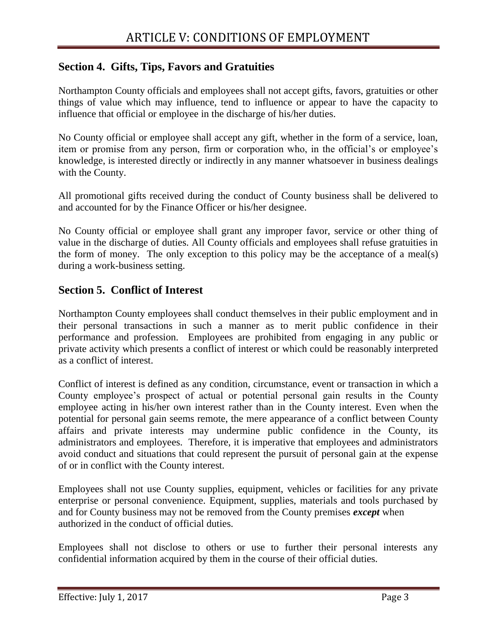# <span id="page-3-0"></span>**Section 4. Gifts, Tips, Favors and Gratuities**

Northampton County officials and employees shall not accept gifts, favors, gratuities or other things of value which may influence, tend to influence or appear to have the capacity to influence that official or employee in the discharge of his/her duties.

No County official or employee shall accept any gift, whether in the form of a service, loan, item or promise from any person, firm or corporation who, in the official's or employee's knowledge, is interested directly or indirectly in any manner whatsoever in business dealings with the County.

All promotional gifts received during the conduct of County business shall be delivered to and accounted for by the Finance Officer or his/her designee.

No County official or employee shall grant any improper favor, service or other thing of value in the discharge of duties. All County officials and employees shall refuse gratuities in the form of money. The only exception to this policy may be the acceptance of a meal(s) during a work-business setting.

## <span id="page-3-1"></span>**Section 5. Conflict of Interest**

Northampton County employees shall conduct themselves in their public employment and in their personal transactions in such a manner as to merit public confidence in their performance and profession. Employees are prohibited from engaging in any public or private activity which presents a conflict of interest or which could be reasonably interpreted as a conflict of interest.

Conflict of interest is defined as any condition, circumstance, event or transaction in which a County employee's prospect of actual or potential personal gain results in the County employee acting in his/her own interest rather than in the County interest. Even when the potential for personal gain seems remote, the mere appearance of a conflict between County affairs and private interests may undermine public confidence in the County, its administrators and employees. Therefore, it is imperative that employees and administrators avoid conduct and situations that could represent the pursuit of personal gain at the expense of or in conflict with the County interest.

Employees shall not use County supplies, equipment, vehicles or facilities for any private enterprise or personal convenience. Equipment, supplies, materials and tools purchased by and for County business may not be removed from the County premises *except* when authorized in the conduct of official duties.

Employees shall not disclose to others or use to further their personal interests any confidential information acquired by them in the course of their official duties.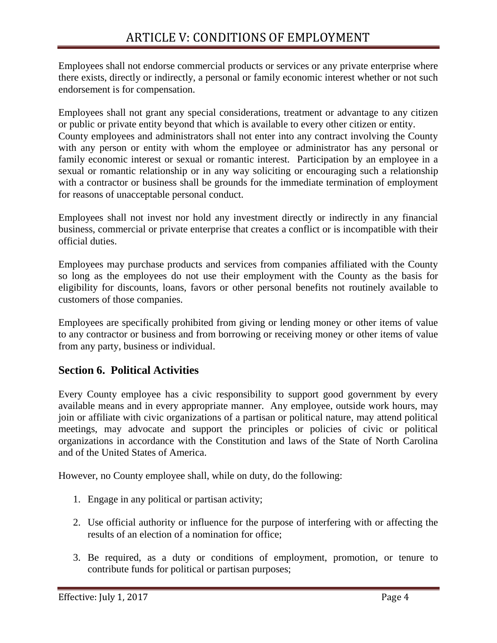Employees shall not endorse commercial products or services or any private enterprise where there exists, directly or indirectly, a personal or family economic interest whether or not such endorsement is for compensation.

Employees shall not grant any special considerations, treatment or advantage to any citizen or public or private entity beyond that which is available to every other citizen or entity. County employees and administrators shall not enter into any contract involving the County with any person or entity with whom the employee or administrator has any personal or family economic interest or sexual or romantic interest. Participation by an employee in a sexual or romantic relationship or in any way soliciting or encouraging such a relationship with a contractor or business shall be grounds for the immediate termination of employment for reasons of unacceptable personal conduct.

Employees shall not invest nor hold any investment directly or indirectly in any financial business, commercial or private enterprise that creates a conflict or is incompatible with their official duties.

Employees may purchase products and services from companies affiliated with the County so long as the employees do not use their employment with the County as the basis for eligibility for discounts, loans, favors or other personal benefits not routinely available to customers of those companies.

Employees are specifically prohibited from giving or lending money or other items of value to any contractor or business and from borrowing or receiving money or other items of value from any party, business or individual.

# <span id="page-4-0"></span>**Section 6. Political Activities**

Every County employee has a civic responsibility to support good government by every available means and in every appropriate manner. Any employee, outside work hours, may join or affiliate with civic organizations of a partisan or political nature, may attend political meetings, may advocate and support the principles or policies of civic or political organizations in accordance with the Constitution and laws of the State of North Carolina and of the United States of America.

However, no County employee shall, while on duty, do the following:

- 1. Engage in any political or partisan activity;
- 2. Use official authority or influence for the purpose of interfering with or affecting the results of an election of a nomination for office;
- 3. Be required, as a duty or conditions of employment, promotion, or tenure to contribute funds for political or partisan purposes;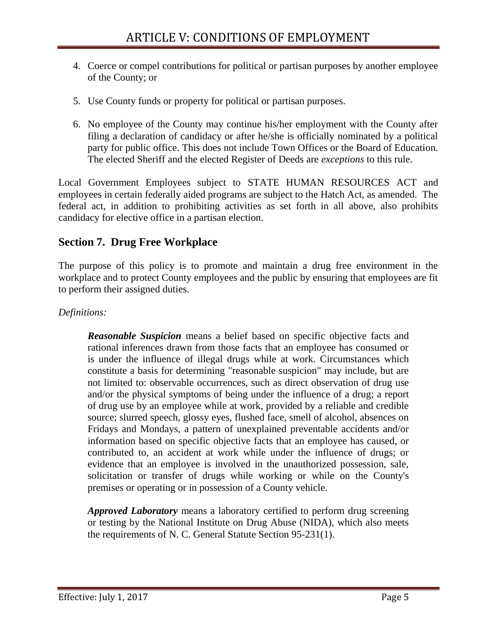- 4. Coerce or compel contributions for political or partisan purposes by another employee of the County; or
- 5. Use County funds or property for political or partisan purposes.
- 6. No employee of the County may continue his/her employment with the County after filing a declaration of candidacy or after he/she is officially nominated by a political party for public office. This does not include Town Offices or the Board of Education. The elected Sheriff and the elected Register of Deeds are *exceptions* to this rule.

Local Government Employees subject to STATE HUMAN RESOURCES ACT and employees in certain federally aided programs are subject to the Hatch Act, as amended. The federal act, in addition to prohibiting activities as set forth in all above, also prohibits candidacy for elective office in a partisan election.

# <span id="page-5-0"></span>**Section 7. Drug Free Workplace**

The purpose of this policy is to promote and maintain a drug free environment in the workplace and to protect County employees and the public by ensuring that employees are fit to perform their assigned duties.

#### *Definitions:*

*Reasonable Suspicion* means a belief based on specific objective facts and rational inferences drawn from those facts that an employee has consumed or is under the influence of illegal drugs while at work. Circumstances which constitute a basis for determining "reasonable suspicion" may include, but are not limited to: observable occurrences, such as direct observation of drug use and/or the physical symptoms of being under the influence of a drug; a report of drug use by an employee while at work, provided by a reliable and credible source; slurred speech, glossy eyes, flushed face, smell of alcohol, absences on Fridays and Mondays, a pattern of unexplained preventable accidents and/or information based on specific objective facts that an employee has caused, or contributed to, an accident at work while under the influence of drugs; or evidence that an employee is involved in the unauthorized possession, sale, solicitation or transfer of drugs while working or while on the County's premises or operating or in possession of a County vehicle.

*Approved Laboratory* means a laboratory certified to perform drug screening or testing by the National Institute on Drug Abuse (NIDA), which also meets the requirements of N. C. General Statute Section 95-231(1).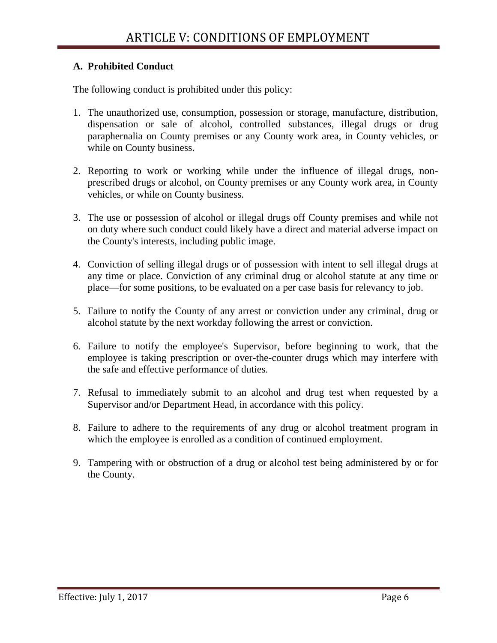#### **A. Prohibited Conduct**

The following conduct is prohibited under this policy:

- 1. The unauthorized use, consumption, possession or storage, manufacture, distribution, dispensation or sale of alcohol, controlled substances, illegal drugs or drug paraphernalia on County premises or any County work area, in County vehicles, or while on County business.
- 2. Reporting to work or working while under the influence of illegal drugs, nonprescribed drugs or alcohol, on County premises or any County work area, in County vehicles, or while on County business.
- 3. The use or possession of alcohol or illegal drugs off County premises and while not on duty where such conduct could likely have a direct and material adverse impact on the County's interests, including public image.
- 4. Conviction of selling illegal drugs or of possession with intent to sell illegal drugs at any time or place. Conviction of any criminal drug or alcohol statute at any time or place—for some positions, to be evaluated on a per case basis for relevancy to job.
- 5. Failure to notify the County of any arrest or conviction under any criminal, drug or alcohol statute by the next workday following the arrest or conviction.
- 6. Failure to notify the employee's Supervisor, before beginning to work, that the employee is taking prescription or over-the-counter drugs which may interfere with the safe and effective performance of duties.
- 7. Refusal to immediately submit to an alcohol and drug test when requested by a Supervisor and/or Department Head, in accordance with this policy.
- 8. Failure to adhere to the requirements of any drug or alcohol treatment program in which the employee is enrolled as a condition of continued employment.
- 9. Tampering with or obstruction of a drug or alcohol test being administered by or for the County.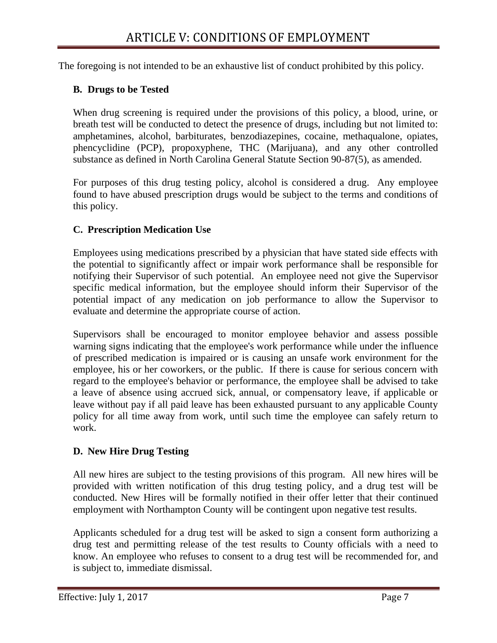The foregoing is not intended to be an exhaustive list of conduct prohibited by this policy.

## **B. Drugs to be Tested**

When drug screening is required under the provisions of this policy, a blood, urine, or breath test will be conducted to detect the presence of drugs, including but not limited to: amphetamines, alcohol, barbiturates, benzodiazepines, cocaine, methaqualone, opiates, phencyclidine (PCP), propoxyphene, THC (Marijuana), and any other controlled substance as defined in North Carolina General Statute Section 90-87(5), as amended.

For purposes of this drug testing policy, alcohol is considered a drug. Any employee found to have abused prescription drugs would be subject to the terms and conditions of this policy.

#### **C. Prescription Medication Use**

Employees using medications prescribed by a physician that have stated side effects with the potential to significantly affect or impair work performance shall be responsible for notifying their Supervisor of such potential. An employee need not give the Supervisor specific medical information, but the employee should inform their Supervisor of the potential impact of any medication on job performance to allow the Supervisor to evaluate and determine the appropriate course of action.

Supervisors shall be encouraged to monitor employee behavior and assess possible warning signs indicating that the employee's work performance while under the influence of prescribed medication is impaired or is causing an unsafe work environment for the employee, his or her coworkers, or the public. If there is cause for serious concern with regard to the employee's behavior or performance, the employee shall be advised to take a leave of absence using accrued sick, annual, or compensatory leave, if applicable or leave without pay if all paid leave has been exhausted pursuant to any applicable County policy for all time away from work, until such time the employee can safely return to work.

## **D. New Hire Drug Testing**

All new hires are subject to the testing provisions of this program. All new hires will be provided with written notification of this drug testing policy, and a drug test will be conducted. New Hires will be formally notified in their offer letter that their continued employment with Northampton County will be contingent upon negative test results.

Applicants scheduled for a drug test will be asked to sign a consent form authorizing a drug test and permitting release of the test results to County officials with a need to know. An employee who refuses to consent to a drug test will be recommended for, and is subject to, immediate dismissal.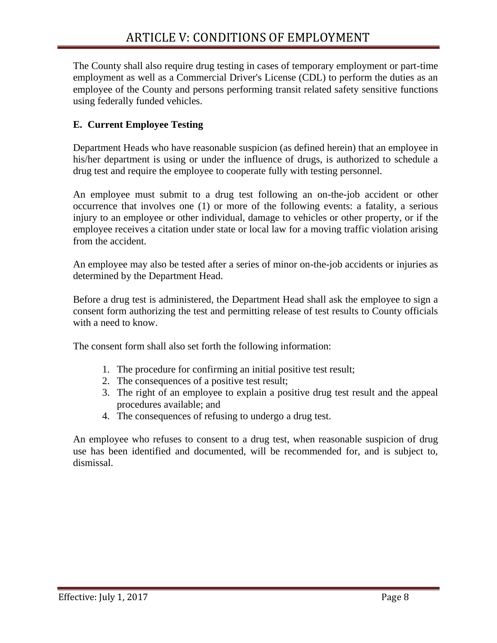The County shall also require drug testing in cases of temporary employment or part-time employment as well as a Commercial Driver's License (CDL) to perform the duties as an employee of the County and persons performing transit related safety sensitive functions using federally funded vehicles.

## **E. Current Employee Testing**

Department Heads who have reasonable suspicion (as defined herein) that an employee in his/her department is using or under the influence of drugs, is authorized to schedule a drug test and require the employee to cooperate fully with testing personnel.

An employee must submit to a drug test following an on-the-job accident or other occurrence that involves one (1) or more of the following events: a fatality, a serious injury to an employee or other individual, damage to vehicles or other property, or if the employee receives a citation under state or local law for a moving traffic violation arising from the accident.

An employee may also be tested after a series of minor on-the-job accidents or injuries as determined by the Department Head.

Before a drug test is administered, the Department Head shall ask the employee to sign a consent form authorizing the test and permitting release of test results to County officials with a need to know.

The consent form shall also set forth the following information:

- 1. The procedure for confirming an initial positive test result;
- 2. The consequences of a positive test result;
- 3. The right of an employee to explain a positive drug test result and the appeal procedures available; and
- 4. The consequences of refusing to undergo a drug test.

An employee who refuses to consent to a drug test, when reasonable suspicion of drug use has been identified and documented, will be recommended for, and is subject to, dismissal.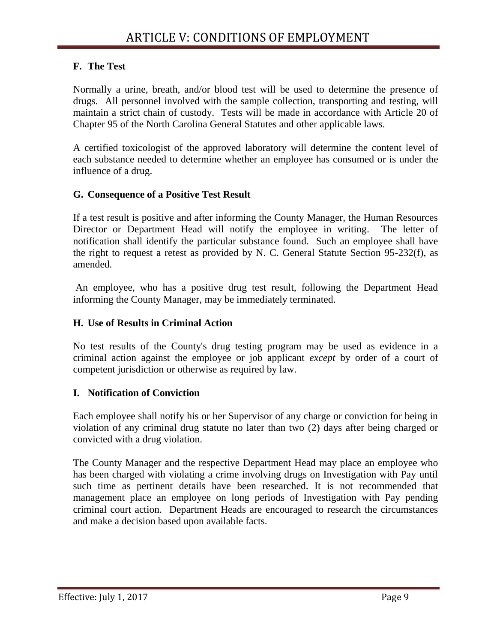## **F. The Test**

Normally a urine, breath, and/or blood test will be used to determine the presence of drugs. All personnel involved with the sample collection, transporting and testing, will maintain a strict chain of custody. Tests will be made in accordance with Article 20 of Chapter 95 of the North Carolina General Statutes and other applicable laws.

A certified toxicologist of the approved laboratory will determine the content level of each substance needed to determine whether an employee has consumed or is under the influence of a drug.

#### **G. Consequence of a Positive Test Result**

If a test result is positive and after informing the County Manager, the Human Resources Director or Department Head will notify the employee in writing. The letter of notification shall identify the particular substance found. Such an employee shall have the right to request a retest as provided by N. C. General Statute Section 95-232(f), as amended.

An employee, who has a positive drug test result, following the Department Head informing the County Manager, may be immediately terminated.

#### **H. Use of Results in Criminal Action**

No test results of the County's drug testing program may be used as evidence in a criminal action against the employee or job applicant *except* by order of a court of competent jurisdiction or otherwise as required by law.

## **I. Notification of Conviction**

Each employee shall notify his or her Supervisor of any charge or conviction for being in violation of any criminal drug statute no later than two (2) days after being charged or convicted with a drug violation.

The County Manager and the respective Department Head may place an employee who has been charged with violating a crime involving drugs on Investigation with Pay until such time as pertinent details have been researched. It is not recommended that management place an employee on long periods of Investigation with Pay pending criminal court action. Department Heads are encouraged to research the circumstances and make a decision based upon available facts.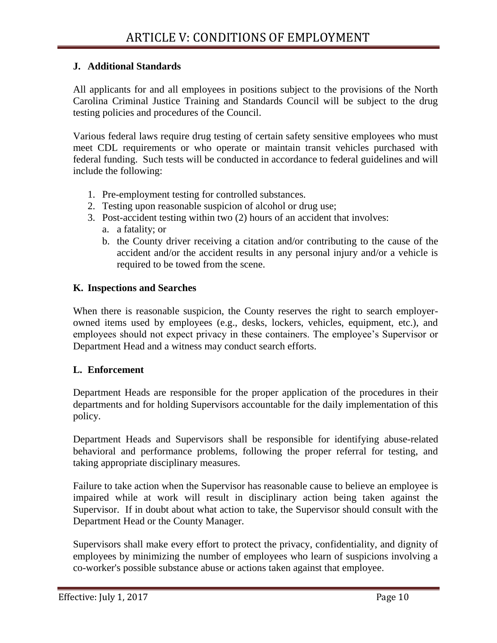#### **J. Additional Standards**

All applicants for and all employees in positions subject to the provisions of the North Carolina Criminal Justice Training and Standards Council will be subject to the drug testing policies and procedures of the Council.

Various federal laws require drug testing of certain safety sensitive employees who must meet CDL requirements or who operate or maintain transit vehicles purchased with federal funding. Such tests will be conducted in accordance to federal guidelines and will include the following:

- 1. Pre-employment testing for controlled substances.
- 2. Testing upon reasonable suspicion of alcohol or drug use;
- 3. Post-accident testing within two (2) hours of an accident that involves:
	- a. a fatality; or
	- b. the County driver receiving a citation and/or contributing to the cause of the accident and/or the accident results in any personal injury and/or a vehicle is required to be towed from the scene.

#### **K. Inspections and Searches**

When there is reasonable suspicion, the County reserves the right to search employerowned items used by employees (e.g., desks, lockers, vehicles, equipment, etc.), and employees should not expect privacy in these containers. The employee's Supervisor or Department Head and a witness may conduct search efforts.

#### **L. Enforcement**

Department Heads are responsible for the proper application of the procedures in their departments and for holding Supervisors accountable for the daily implementation of this policy.

Department Heads and Supervisors shall be responsible for identifying abuse-related behavioral and performance problems, following the proper referral for testing, and taking appropriate disciplinary measures.

Failure to take action when the Supervisor has reasonable cause to believe an employee is impaired while at work will result in disciplinary action being taken against the Supervisor. If in doubt about what action to take, the Supervisor should consult with the Department Head or the County Manager.

Supervisors shall make every effort to protect the privacy, confidentiality, and dignity of employees by minimizing the number of employees who learn of suspicions involving a co-worker's possible substance abuse or actions taken against that employee.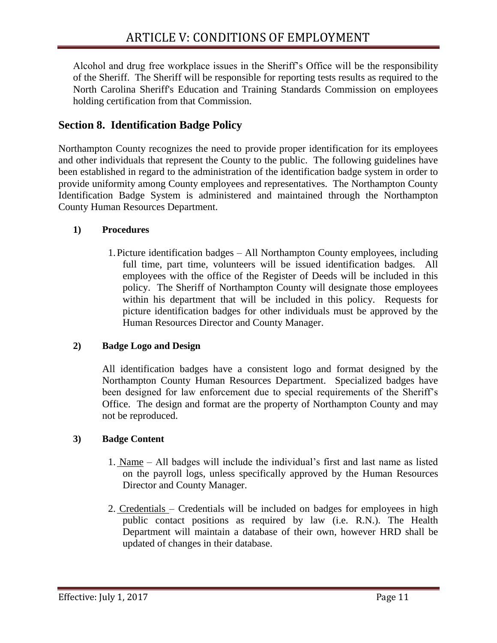Alcohol and drug free workplace issues in the Sheriff's Office will be the responsibility of the Sheriff. The Sheriff will be responsible for reporting tests results as required to the North Carolina Sheriff's Education and Training Standards Commission on employees holding certification from that Commission.

# <span id="page-11-0"></span>**Section 8. Identification Badge Policy**

Northampton County recognizes the need to provide proper identification for its employees and other individuals that represent the County to the public. The following guidelines have been established in regard to the administration of the identification badge system in order to provide uniformity among County employees and representatives. The Northampton County Identification Badge System is administered and maintained through the Northampton County Human Resources Department.

#### **1) Procedures**

1.Picture identification badges – All Northampton County employees, including full time, part time, volunteers will be issued identification badges. All employees with the office of the Register of Deeds will be included in this policy. The Sheriff of Northampton County will designate those employees within his department that will be included in this policy. Requests for picture identification badges for other individuals must be approved by the Human Resources Director and County Manager.

## **2) Badge Logo and Design**

All identification badges have a consistent logo and format designed by the Northampton County Human Resources Department. Specialized badges have been designed for law enforcement due to special requirements of the Sheriff's Office. The design and format are the property of Northampton County and may not be reproduced.

#### **3) Badge Content**

- 1. Name All badges will include the individual's first and last name as listed on the payroll logs, unless specifically approved by the Human Resources Director and County Manager.
- 2. Credentials Credentials will be included on badges for employees in high public contact positions as required by law (i.e. R.N.). The Health Department will maintain a database of their own, however HRD shall be updated of changes in their database.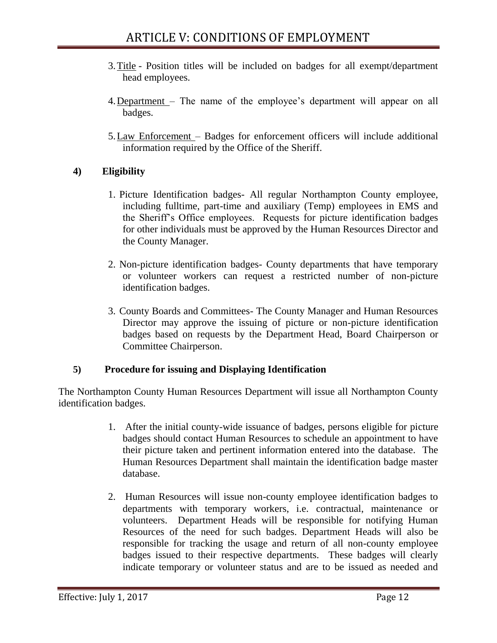- 3.Title Position titles will be included on badges for all exempt/department head employees.
- 4.Department The name of the employee's department will appear on all badges.
- 5.Law Enforcement Badges for enforcement officers will include additional information required by the Office of the Sheriff.

## **4) Eligibility**

- 1. Picture Identification badges- All regular Northampton County employee, including fulltime, part-time and auxiliary (Temp) employees in EMS and the Sheriff's Office employees. Requests for picture identification badges for other individuals must be approved by the Human Resources Director and the County Manager.
- 2. Non-picture identification badges- County departments that have temporary or volunteer workers can request a restricted number of non-picture identification badges.
- 3. County Boards and Committees- The County Manager and Human Resources Director may approve the issuing of picture or non-picture identification badges based on requests by the Department Head, Board Chairperson or Committee Chairperson.

## **5) Procedure for issuing and Displaying Identification**

The Northampton County Human Resources Department will issue all Northampton County identification badges.

- 1. After the initial county-wide issuance of badges, persons eligible for picture badges should contact Human Resources to schedule an appointment to have their picture taken and pertinent information entered into the database. The Human Resources Department shall maintain the identification badge master database.
- 2. Human Resources will issue non-county employee identification badges to departments with temporary workers, i.e. contractual, maintenance or volunteers. Department Heads will be responsible for notifying Human Resources of the need for such badges. Department Heads will also be responsible for tracking the usage and return of all non-county employee badges issued to their respective departments. These badges will clearly indicate temporary or volunteer status and are to be issued as needed and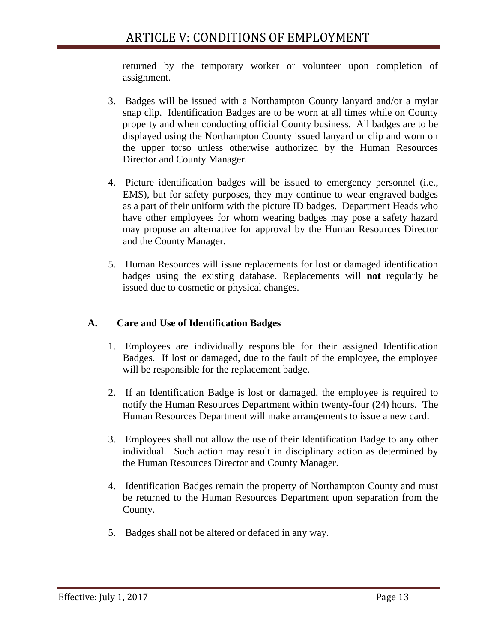returned by the temporary worker or volunteer upon completion of assignment.

- 3. Badges will be issued with a Northampton County lanyard and/or a mylar snap clip. Identification Badges are to be worn at all times while on County property and when conducting official County business. All badges are to be displayed using the Northampton County issued lanyard or clip and worn on the upper torso unless otherwise authorized by the Human Resources Director and County Manager.
- 4. Picture identification badges will be issued to emergency personnel (i.e., EMS), but for safety purposes, they may continue to wear engraved badges as a part of their uniform with the picture ID badges. Department Heads who have other employees for whom wearing badges may pose a safety hazard may propose an alternative for approval by the Human Resources Director and the County Manager.
- 5. Human Resources will issue replacements for lost or damaged identification badges using the existing database. Replacements will **not** regularly be issued due to cosmetic or physical changes.

#### **A. Care and Use of Identification Badges**

- 1. Employees are individually responsible for their assigned Identification Badges. If lost or damaged, due to the fault of the employee, the employee will be responsible for the replacement badge.
- 2. If an Identification Badge is lost or damaged, the employee is required to notify the Human Resources Department within twenty-four (24) hours. The Human Resources Department will make arrangements to issue a new card.
- 3. Employees shall not allow the use of their Identification Badge to any other individual. Such action may result in disciplinary action as determined by the Human Resources Director and County Manager.
- 4. Identification Badges remain the property of Northampton County and must be returned to the Human Resources Department upon separation from the County.
- 5. Badges shall not be altered or defaced in any way.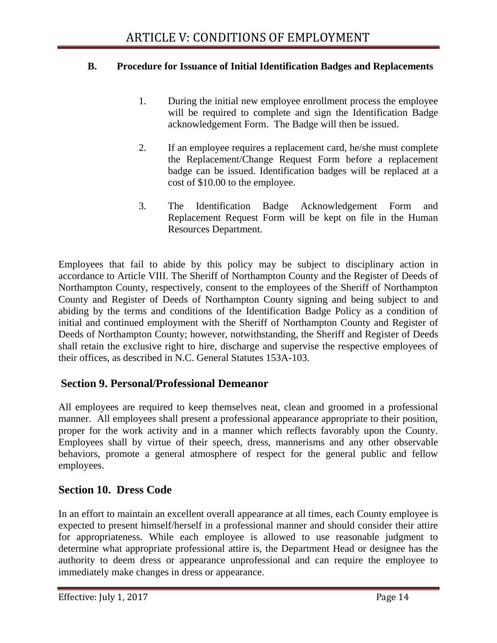#### **B. Procedure for Issuance of Initial Identification Badges and Replacements**

- 1. During the initial new employee enrollment process the employee will be required to complete and sign the Identification Badge acknowledgement Form. The Badge will then be issued.
- 2. If an employee requires a replacement card, he/she must complete the Replacement/Change Request Form before a replacement badge can be issued. Identification badges will be replaced at a cost of \$10.00 to the employee.
- 3. The Identification Badge Acknowledgement Form and Replacement Request Form will be kept on file in the Human Resources Department.

Employees that fail to abide by this policy may be subject to disciplinary action in accordance to Article VIII. The Sheriff of Northampton County and the Register of Deeds of Northampton County, respectively, consent to the employees of the Sheriff of Northampton County and Register of Deeds of Northampton County signing and being subject to and abiding by the terms and conditions of the Identification Badge Policy as a condition of initial and continued employment with the Sheriff of Northampton County and Register of Deeds of Northampton County; however, notwithstanding, the Sheriff and Register of Deeds shall retain the exclusive right to hire, discharge and supervise the respective employees of their offices, as described in N.C. General Statutes 153A-103.

# <span id="page-14-0"></span>**Section 9. Personal/Professional Demeanor**

All employees are required to keep themselves neat, clean and groomed in a professional manner. All employees shall present a professional appearance appropriate to their position, proper for the work activity and in a manner which reflects favorably upon the County. Employees shall by virtue of their speech, dress, mannerisms and any other observable behaviors, promote a general atmosphere of respect for the general public and fellow employees.

# <span id="page-14-1"></span>**Section 10. Dress Code**

In an effort to maintain an excellent overall appearance at all times, each County employee is expected to present himself/herself in a professional manner and should consider their attire for appropriateness. While each employee is allowed to use reasonable judgment to determine what appropriate professional attire is, the Department Head or designee has the authority to deem dress or appearance unprofessional and can require the employee to immediately make changes in dress or appearance.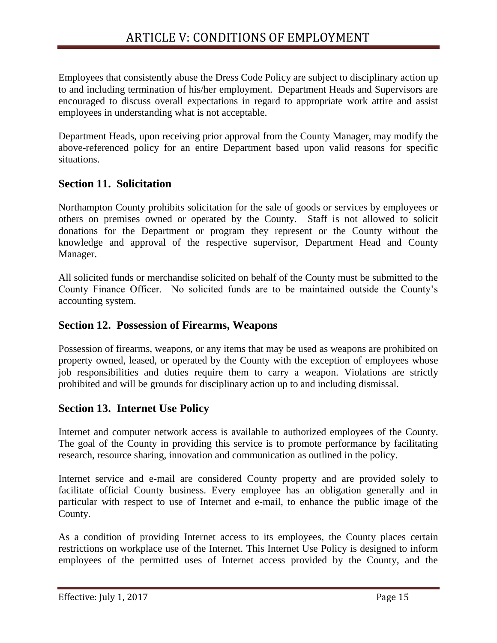Employees that consistently abuse the Dress Code Policy are subject to disciplinary action up to and including termination of his/her employment. Department Heads and Supervisors are encouraged to discuss overall expectations in regard to appropriate work attire and assist employees in understanding what is not acceptable.

Department Heads, upon receiving prior approval from the County Manager, may modify the above-referenced policy for an entire Department based upon valid reasons for specific situations.

# <span id="page-15-0"></span>**Section 11. Solicitation**

Northampton County prohibits solicitation for the sale of goods or services by employees or others on premises owned or operated by the County. Staff is not allowed to solicit donations for the Department or program they represent or the County without the knowledge and approval of the respective supervisor, Department Head and County Manager.

All solicited funds or merchandise solicited on behalf of the County must be submitted to the County Finance Officer. No solicited funds are to be maintained outside the County's accounting system.

# <span id="page-15-1"></span>**Section 12. Possession of Firearms, Weapons**

Possession of firearms, weapons, or any items that may be used as weapons are prohibited on property owned, leased, or operated by the County with the exception of employees whose job responsibilities and duties require them to carry a weapon. Violations are strictly prohibited and will be grounds for disciplinary action up to and including dismissal.

## <span id="page-15-2"></span>**Section 13. Internet Use Policy**

Internet and computer network access is available to authorized employees of the County. The goal of the County in providing this service is to promote performance by facilitating research, resource sharing, innovation and communication as outlined in the policy.

Internet service and e-mail are considered County property and are provided solely to facilitate official County business. Every employee has an obligation generally and in particular with respect to use of Internet and e-mail, to enhance the public image of the County.

As a condition of providing Internet access to its employees, the County places certain restrictions on workplace use of the Internet. This Internet Use Policy is designed to inform employees of the permitted uses of Internet access provided by the County, and the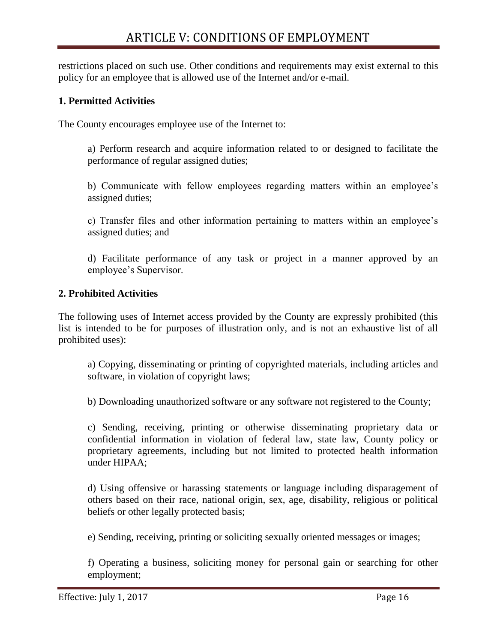restrictions placed on such use. Other conditions and requirements may exist external to this policy for an employee that is allowed use of the Internet and/or e-mail.

#### **1. Permitted Activities**

The County encourages employee use of the Internet to:

a) Perform research and acquire information related to or designed to facilitate the performance of regular assigned duties;

b) Communicate with fellow employees regarding matters within an employee's assigned duties;

c) Transfer files and other information pertaining to matters within an employee's assigned duties; and

d) Facilitate performance of any task or project in a manner approved by an employee's Supervisor.

#### **2. Prohibited Activities**

The following uses of Internet access provided by the County are expressly prohibited (this list is intended to be for purposes of illustration only, and is not an exhaustive list of all prohibited uses):

a) Copying, disseminating or printing of copyrighted materials, including articles and software, in violation of copyright laws;

b) Downloading unauthorized software or any software not registered to the County;

c) Sending, receiving, printing or otherwise disseminating proprietary data or confidential information in violation of federal law, state law, County policy or proprietary agreements, including but not limited to protected health information under HIPAA;

d) Using offensive or harassing statements or language including disparagement of others based on their race, national origin, sex, age, disability, religious or political beliefs or other legally protected basis;

e) Sending, receiving, printing or soliciting sexually oriented messages or images;

f) Operating a business, soliciting money for personal gain or searching for other employment;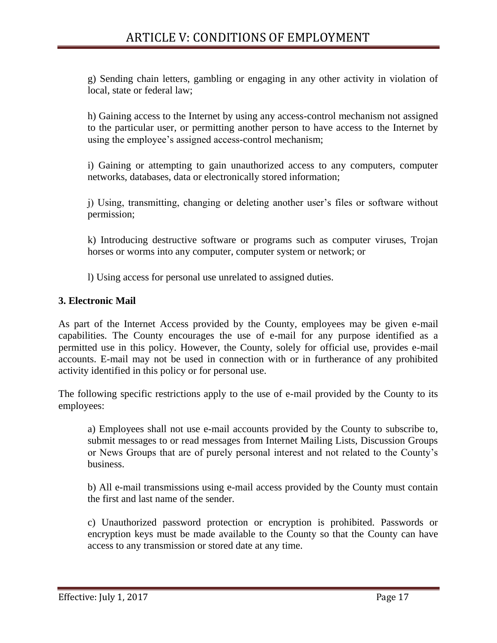g) Sending chain letters, gambling or engaging in any other activity in violation of local, state or federal law;

h) Gaining access to the Internet by using any access-control mechanism not assigned to the particular user, or permitting another person to have access to the Internet by using the employee's assigned access-control mechanism;

i) Gaining or attempting to gain unauthorized access to any computers, computer networks, databases, data or electronically stored information;

j) Using, transmitting, changing or deleting another user's files or software without permission;

k) Introducing destructive software or programs such as computer viruses, Trojan horses or worms into any computer, computer system or network; or

l) Using access for personal use unrelated to assigned duties.

#### **3. Electronic Mail**

As part of the Internet Access provided by the County, employees may be given e-mail capabilities. The County encourages the use of e-mail for any purpose identified as a permitted use in this policy. However, the County, solely for official use, provides e-mail accounts. E-mail may not be used in connection with or in furtherance of any prohibited activity identified in this policy or for personal use.

The following specific restrictions apply to the use of e-mail provided by the County to its employees:

a) Employees shall not use e-mail accounts provided by the County to subscribe to, submit messages to or read messages from Internet Mailing Lists, Discussion Groups or News Groups that are of purely personal interest and not related to the County's business.

b) All e-mail transmissions using e-mail access provided by the County must contain the first and last name of the sender.

c) Unauthorized password protection or encryption is prohibited. Passwords or encryption keys must be made available to the County so that the County can have access to any transmission or stored date at any time.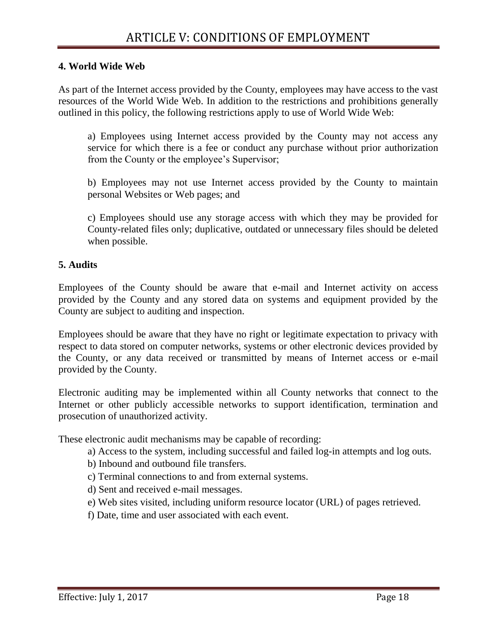#### **4. World Wide Web**

As part of the Internet access provided by the County, employees may have access to the vast resources of the World Wide Web. In addition to the restrictions and prohibitions generally outlined in this policy, the following restrictions apply to use of World Wide Web:

a) Employees using Internet access provided by the County may not access any service for which there is a fee or conduct any purchase without prior authorization from the County or the employee's Supervisor;

b) Employees may not use Internet access provided by the County to maintain personal Websites or Web pages; and

c) Employees should use any storage access with which they may be provided for County-related files only; duplicative, outdated or unnecessary files should be deleted when possible.

#### **5. Audits**

Employees of the County should be aware that e-mail and Internet activity on access provided by the County and any stored data on systems and equipment provided by the County are subject to auditing and inspection.

Employees should be aware that they have no right or legitimate expectation to privacy with respect to data stored on computer networks, systems or other electronic devices provided by the County, or any data received or transmitted by means of Internet access or e-mail provided by the County.

Electronic auditing may be implemented within all County networks that connect to the Internet or other publicly accessible networks to support identification, termination and prosecution of unauthorized activity.

These electronic audit mechanisms may be capable of recording:

- a) Access to the system, including successful and failed log-in attempts and log outs.
- b) Inbound and outbound file transfers.
- c) Terminal connections to and from external systems.
- d) Sent and received e-mail messages.
- e) Web sites visited, including uniform resource locator (URL) of pages retrieved.
- f) Date, time and user associated with each event.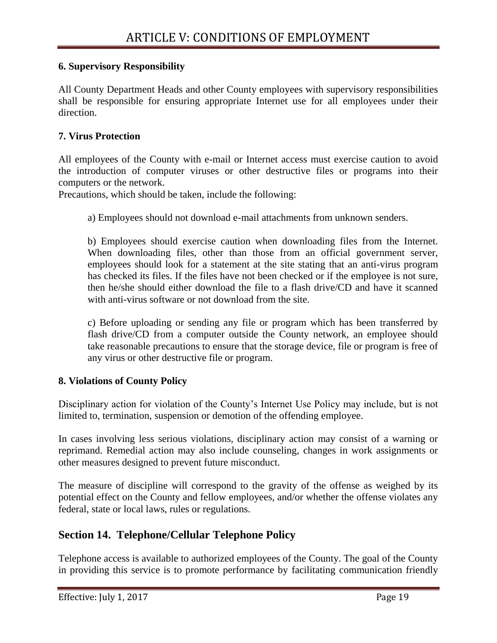#### **6. Supervisory Responsibility**

All County Department Heads and other County employees with supervisory responsibilities shall be responsible for ensuring appropriate Internet use for all employees under their direction.

#### **7. Virus Protection**

All employees of the County with e-mail or Internet access must exercise caution to avoid the introduction of computer viruses or other destructive files or programs into their computers or the network.

Precautions, which should be taken, include the following:

a) Employees should not download e-mail attachments from unknown senders.

b) Employees should exercise caution when downloading files from the Internet. When downloading files, other than those from an official government server, employees should look for a statement at the site stating that an anti-virus program has checked its files. If the files have not been checked or if the employee is not sure, then he/she should either download the file to a flash drive/CD and have it scanned with anti-virus software or not download from the site.

c) Before uploading or sending any file or program which has been transferred by flash drive/CD from a computer outside the County network, an employee should take reasonable precautions to ensure that the storage device, file or program is free of any virus or other destructive file or program.

#### **8. Violations of County Policy**

Disciplinary action for violation of the County's Internet Use Policy may include, but is not limited to, termination, suspension or demotion of the offending employee.

In cases involving less serious violations, disciplinary action may consist of a warning or reprimand. Remedial action may also include counseling, changes in work assignments or other measures designed to prevent future misconduct.

The measure of discipline will correspond to the gravity of the offense as weighed by its potential effect on the County and fellow employees, and/or whether the offense violates any federal, state or local laws, rules or regulations.

## <span id="page-19-0"></span>**Section 14. Telephone/Cellular Telephone Policy**

Telephone access is available to authorized employees of the County. The goal of the County in providing this service is to promote performance by facilitating communication friendly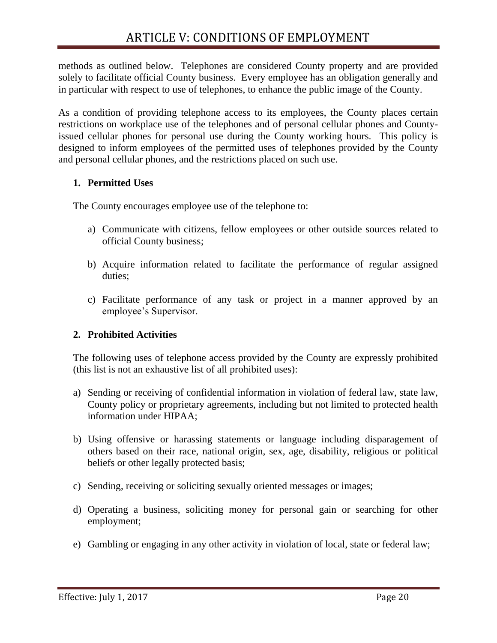methods as outlined below. Telephones are considered County property and are provided solely to facilitate official County business. Every employee has an obligation generally and in particular with respect to use of telephones, to enhance the public image of the County.

As a condition of providing telephone access to its employees, the County places certain restrictions on workplace use of the telephones and of personal cellular phones and Countyissued cellular phones for personal use during the County working hours. This policy is designed to inform employees of the permitted uses of telephones provided by the County and personal cellular phones, and the restrictions placed on such use.

#### **1. Permitted Uses**

The County encourages employee use of the telephone to:

- a) Communicate with citizens, fellow employees or other outside sources related to official County business;
- b) Acquire information related to facilitate the performance of regular assigned duties;
- c) Facilitate performance of any task or project in a manner approved by an employee's Supervisor.

#### **2. Prohibited Activities**

The following uses of telephone access provided by the County are expressly prohibited (this list is not an exhaustive list of all prohibited uses):

- a) Sending or receiving of confidential information in violation of federal law, state law, County policy or proprietary agreements, including but not limited to protected health information under HIPAA;
- b) Using offensive or harassing statements or language including disparagement of others based on their race, national origin, sex, age, disability, religious or political beliefs or other legally protected basis;
- c) Sending, receiving or soliciting sexually oriented messages or images;
- d) Operating a business, soliciting money for personal gain or searching for other employment;
- e) Gambling or engaging in any other activity in violation of local, state or federal law;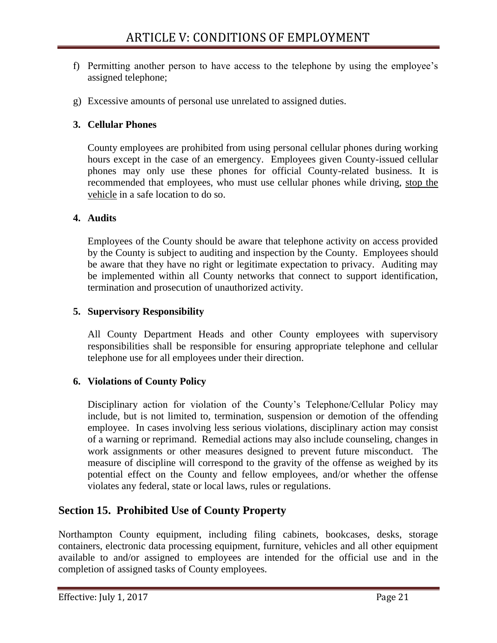- f) Permitting another person to have access to the telephone by using the employee's assigned telephone;
- g) Excessive amounts of personal use unrelated to assigned duties.

#### **3. Cellular Phones**

County employees are prohibited from using personal cellular phones during working hours except in the case of an emergency. Employees given County-issued cellular phones may only use these phones for official County-related business. It is recommended that employees, who must use cellular phones while driving, stop the vehicle in a safe location to do so.

#### **4. Audits**

Employees of the County should be aware that telephone activity on access provided by the County is subject to auditing and inspection by the County. Employees should be aware that they have no right or legitimate expectation to privacy. Auditing may be implemented within all County networks that connect to support identification, termination and prosecution of unauthorized activity.

#### **5. Supervisory Responsibility**

All County Department Heads and other County employees with supervisory responsibilities shall be responsible for ensuring appropriate telephone and cellular telephone use for all employees under their direction.

## **6. Violations of County Policy**

Disciplinary action for violation of the County's Telephone/Cellular Policy may include, but is not limited to, termination, suspension or demotion of the offending employee. In cases involving less serious violations, disciplinary action may consist of a warning or reprimand. Remedial actions may also include counseling, changes in work assignments or other measures designed to prevent future misconduct. The measure of discipline will correspond to the gravity of the offense as weighed by its potential effect on the County and fellow employees, and/or whether the offense violates any federal, state or local laws, rules or regulations.

# <span id="page-21-0"></span>**Section 15. Prohibited Use of County Property**

Northampton County equipment, including filing cabinets, bookcases, desks, storage containers, electronic data processing equipment, furniture, vehicles and all other equipment available to and/or assigned to employees are intended for the official use and in the completion of assigned tasks of County employees.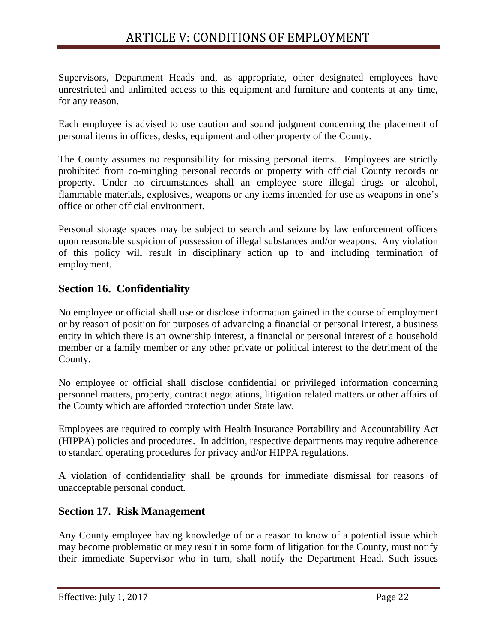Supervisors, Department Heads and, as appropriate, other designated employees have unrestricted and unlimited access to this equipment and furniture and contents at any time, for any reason.

Each employee is advised to use caution and sound judgment concerning the placement of personal items in offices, desks, equipment and other property of the County.

The County assumes no responsibility for missing personal items. Employees are strictly prohibited from co-mingling personal records or property with official County records or property. Under no circumstances shall an employee store illegal drugs or alcohol, flammable materials, explosives, weapons or any items intended for use as weapons in one's office or other official environment.

Personal storage spaces may be subject to search and seizure by law enforcement officers upon reasonable suspicion of possession of illegal substances and/or weapons. Any violation of this policy will result in disciplinary action up to and including termination of employment.

# <span id="page-22-0"></span>**Section 16. Confidentiality**

No employee or official shall use or disclose information gained in the course of employment or by reason of position for purposes of advancing a financial or personal interest, a business entity in which there is an ownership interest, a financial or personal interest of a household member or a family member or any other private or political interest to the detriment of the County.

No employee or official shall disclose confidential or privileged information concerning personnel matters, property, contract negotiations, litigation related matters or other affairs of the County which are afforded protection under State law.

Employees are required to comply with Health Insurance Portability and Accountability Act (HIPPA) policies and procedures. In addition, respective departments may require adherence to standard operating procedures for privacy and/or HIPPA regulations.

A violation of confidentiality shall be grounds for immediate dismissal for reasons of unacceptable personal conduct.

## <span id="page-22-1"></span>**Section 17. Risk Management**

Any County employee having knowledge of or a reason to know of a potential issue which may become problematic or may result in some form of litigation for the County, must notify their immediate Supervisor who in turn, shall notify the Department Head. Such issues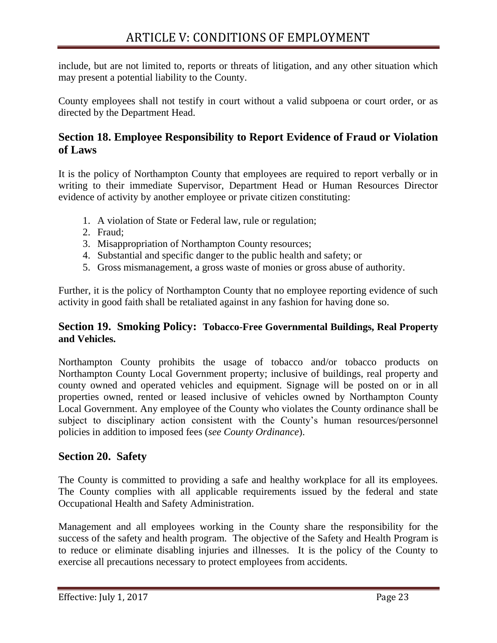include, but are not limited to, reports or threats of litigation, and any other situation which may present a potential liability to the County.

County employees shall not testify in court without a valid subpoena or court order, or as directed by the Department Head.

# <span id="page-23-0"></span>**Section 18. Employee Responsibility to Report Evidence of Fraud or Violation of Laws**

It is the policy of Northampton County that employees are required to report verbally or in writing to their immediate Supervisor, Department Head or Human Resources Director evidence of activity by another employee or private citizen constituting:

- 1. A violation of State or Federal law, rule or regulation;
- 2. Fraud;
- 3. Misappropriation of Northampton County resources;
- 4. Substantial and specific danger to the public health and safety; or
- 5. Gross mismanagement, a gross waste of monies or gross abuse of authority.

Further, it is the policy of Northampton County that no employee reporting evidence of such activity in good faith shall be retaliated against in any fashion for having done so.

#### <span id="page-23-1"></span>**Section 19. Smoking Policy: Tobacco-Free Governmental Buildings, Real Property and Vehicles.**

Northampton County prohibits the usage of tobacco and/or tobacco products on Northampton County Local Government property; inclusive of buildings, real property and county owned and operated vehicles and equipment. Signage will be posted on or in all properties owned, rented or leased inclusive of vehicles owned by Northampton County Local Government. Any employee of the County who violates the County ordinance shall be subject to disciplinary action consistent with the County's human resources/personnel policies in addition to imposed fees (*see County Ordinance*).

## <span id="page-23-2"></span>**Section 20. Safety**

The County is committed to providing a safe and healthy workplace for all its employees. The County complies with all applicable requirements issued by the federal and state Occupational Health and Safety Administration.

Management and all employees working in the County share the responsibility for the success of the safety and health program. The objective of the Safety and Health Program is to reduce or eliminate disabling injuries and illnesses. It is the policy of the County to exercise all precautions necessary to protect employees from accidents.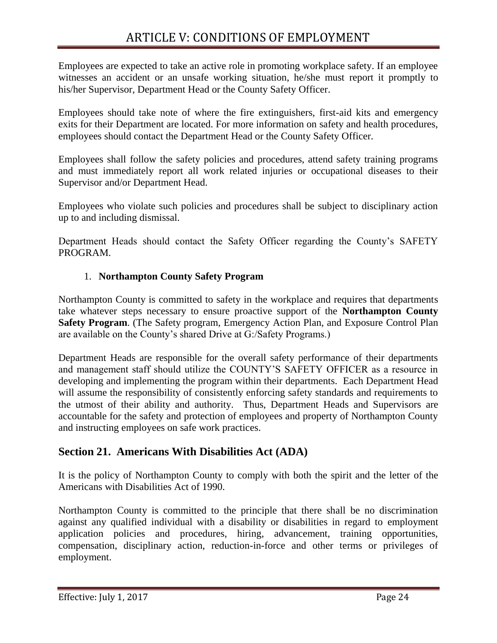Employees are expected to take an active role in promoting workplace safety. If an employee witnesses an accident or an unsafe working situation, he/she must report it promptly to his/her Supervisor, Department Head or the County Safety Officer.

Employees should take note of where the fire extinguishers, first-aid kits and emergency exits for their Department are located. For more information on safety and health procedures, employees should contact the Department Head or the County Safety Officer.

Employees shall follow the safety policies and procedures, attend safety training programs and must immediately report all work related injuries or occupational diseases to their Supervisor and/or Department Head.

Employees who violate such policies and procedures shall be subject to disciplinary action up to and including dismissal.

Department Heads should contact the Safety Officer regarding the County's SAFETY PROGRAM.

## 1. **Northampton County Safety Program**

Northampton County is committed to safety in the workplace and requires that departments take whatever steps necessary to ensure proactive support of the **Northampton County Safety Program**. (The Safety program, Emergency Action Plan, and Exposure Control Plan are available on the County's shared Drive at G:/Safety Programs.)

Department Heads are responsible for the overall safety performance of their departments and management staff should utilize the COUNTY'S SAFETY OFFICER as a resource in developing and implementing the program within their departments. Each Department Head will assume the responsibility of consistently enforcing safety standards and requirements to the utmost of their ability and authority. Thus, Department Heads and Supervisors are accountable for the safety and protection of employees and property of Northampton County and instructing employees on safe work practices.

# <span id="page-24-0"></span>**Section 21. Americans With Disabilities Act (ADA)**

It is the policy of Northampton County to comply with both the spirit and the letter of the Americans with Disabilities Act of 1990.

Northampton County is committed to the principle that there shall be no discrimination against any qualified individual with a disability or disabilities in regard to employment application policies and procedures, hiring, advancement, training opportunities, compensation, disciplinary action, reduction-in-force and other terms or privileges of employment.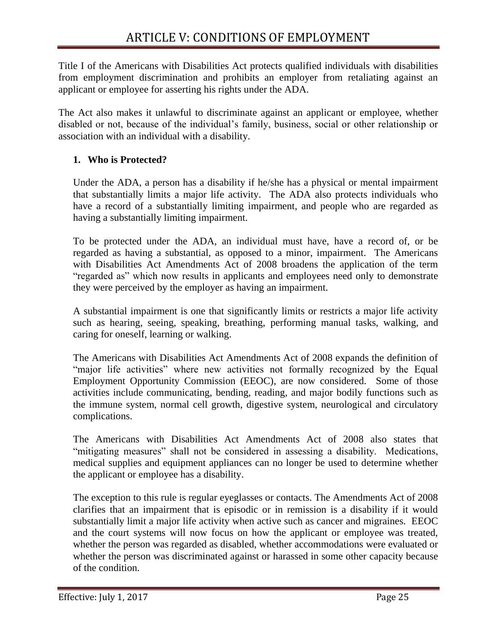Title I of the Americans with Disabilities Act protects qualified individuals with disabilities from employment discrimination and prohibits an employer from retaliating against an applicant or employee for asserting his rights under the ADA.

The Act also makes it unlawful to discriminate against an applicant or employee, whether disabled or not, because of the individual's family, business, social or other relationship or association with an individual with a disability.

## **1. Who is Protected?**

Under the ADA, a person has a disability if he/she has a physical or mental impairment that substantially limits a major life activity. The ADA also protects individuals who have a record of a substantially limiting impairment, and people who are regarded as having a substantially limiting impairment.

To be protected under the ADA, an individual must have, have a record of, or be regarded as having a substantial, as opposed to a minor, impairment. The Americans with Disabilities Act Amendments Act of 2008 broadens the application of the term "regarded as" which now results in applicants and employees need only to demonstrate they were perceived by the employer as having an impairment.

A substantial impairment is one that significantly limits or restricts a major life activity such as hearing, seeing, speaking, breathing, performing manual tasks, walking, and caring for oneself, learning or walking.

The Americans with Disabilities Act Amendments Act of 2008 expands the definition of "major life activities" where new activities not formally recognized by the Equal Employment Opportunity Commission (EEOC), are now considered. Some of those activities include communicating, bending, reading, and major bodily functions such as the immune system, normal cell growth, digestive system, neurological and circulatory complications.

The Americans with Disabilities Act Amendments Act of 2008 also states that "mitigating measures" shall not be considered in assessing a disability. Medications, medical supplies and equipment appliances can no longer be used to determine whether the applicant or employee has a disability.

The exception to this rule is regular eyeglasses or contacts. The Amendments Act of 2008 clarifies that an impairment that is episodic or in remission is a disability if it would substantially limit a major life activity when active such as cancer and migraines. EEOC and the court systems will now focus on how the applicant or employee was treated, whether the person was regarded as disabled, whether accommodations were evaluated or whether the person was discriminated against or harassed in some other capacity because of the condition.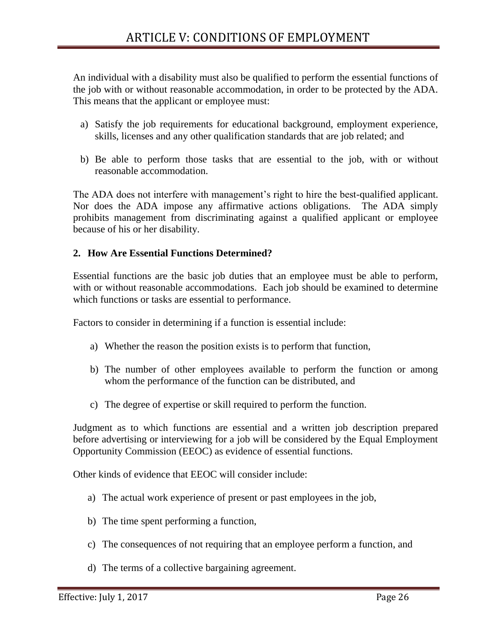An individual with a disability must also be qualified to perform the essential functions of the job with or without reasonable accommodation, in order to be protected by the ADA. This means that the applicant or employee must:

- a) Satisfy the job requirements for educational background, employment experience, skills, licenses and any other qualification standards that are job related; and
- b) Be able to perform those tasks that are essential to the job, with or without reasonable accommodation.

The ADA does not interfere with management's right to hire the best-qualified applicant. Nor does the ADA impose any affirmative actions obligations. The ADA simply prohibits management from discriminating against a qualified applicant or employee because of his or her disability.

#### **2. How Are Essential Functions Determined?**

Essential functions are the basic job duties that an employee must be able to perform, with or without reasonable accommodations. Each job should be examined to determine which functions or tasks are essential to performance.

Factors to consider in determining if a function is essential include:

- a) Whether the reason the position exists is to perform that function,
- b) The number of other employees available to perform the function or among whom the performance of the function can be distributed, and
- c) The degree of expertise or skill required to perform the function.

Judgment as to which functions are essential and a written job description prepared before advertising or interviewing for a job will be considered by the Equal Employment Opportunity Commission (EEOC) as evidence of essential functions.

Other kinds of evidence that EEOC will consider include:

- a) The actual work experience of present or past employees in the job,
- b) The time spent performing a function,
- c) The consequences of not requiring that an employee perform a function, and
- d) The terms of a collective bargaining agreement.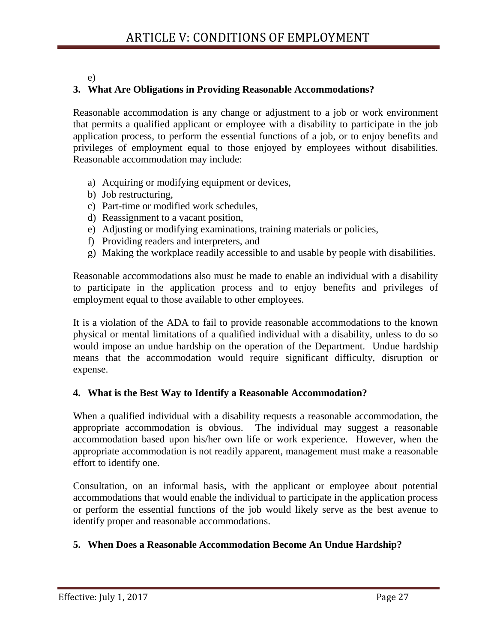#### e)

## **3. What Are Obligations in Providing Reasonable Accommodations?**

Reasonable accommodation is any change or adjustment to a job or work environment that permits a qualified applicant or employee with a disability to participate in the job application process, to perform the essential functions of a job, or to enjoy benefits and privileges of employment equal to those enjoyed by employees without disabilities. Reasonable accommodation may include:

- a) Acquiring or modifying equipment or devices,
- b) Job restructuring,
- c) Part-time or modified work schedules,
- d) Reassignment to a vacant position,
- e) Adjusting or modifying examinations, training materials or policies,
- f) Providing readers and interpreters, and
- g) Making the workplace readily accessible to and usable by people with disabilities.

Reasonable accommodations also must be made to enable an individual with a disability to participate in the application process and to enjoy benefits and privileges of employment equal to those available to other employees.

It is a violation of the ADA to fail to provide reasonable accommodations to the known physical or mental limitations of a qualified individual with a disability, unless to do so would impose an undue hardship on the operation of the Department. Undue hardship means that the accommodation would require significant difficulty, disruption or expense.

## **4. What is the Best Way to Identify a Reasonable Accommodation?**

When a qualified individual with a disability requests a reasonable accommodation, the appropriate accommodation is obvious. The individual may suggest a reasonable accommodation based upon his/her own life or work experience. However, when the appropriate accommodation is not readily apparent, management must make a reasonable effort to identify one.

Consultation, on an informal basis, with the applicant or employee about potential accommodations that would enable the individual to participate in the application process or perform the essential functions of the job would likely serve as the best avenue to identify proper and reasonable accommodations.

# **5. When Does a Reasonable Accommodation Become An Undue Hardship?**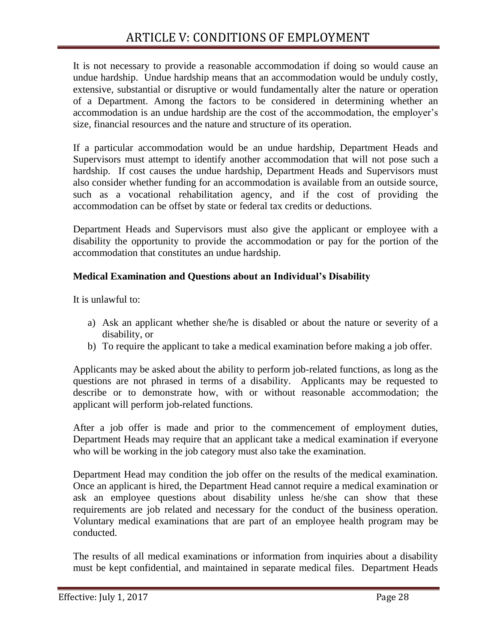It is not necessary to provide a reasonable accommodation if doing so would cause an undue hardship. Undue hardship means that an accommodation would be unduly costly, extensive, substantial or disruptive or would fundamentally alter the nature or operation of a Department. Among the factors to be considered in determining whether an accommodation is an undue hardship are the cost of the accommodation, the employer's size, financial resources and the nature and structure of its operation.

If a particular accommodation would be an undue hardship, Department Heads and Supervisors must attempt to identify another accommodation that will not pose such a hardship. If cost causes the undue hardship, Department Heads and Supervisors must also consider whether funding for an accommodation is available from an outside source, such as a vocational rehabilitation agency, and if the cost of providing the accommodation can be offset by state or federal tax credits or deductions.

Department Heads and Supervisors must also give the applicant or employee with a disability the opportunity to provide the accommodation or pay for the portion of the accommodation that constitutes an undue hardship.

#### **Medical Examination and Questions about an Individual's Disability**

It is unlawful to:

- a) Ask an applicant whether she/he is disabled or about the nature or severity of a disability, or
- b) To require the applicant to take a medical examination before making a job offer.

Applicants may be asked about the ability to perform job-related functions, as long as the questions are not phrased in terms of a disability. Applicants may be requested to describe or to demonstrate how, with or without reasonable accommodation; the applicant will perform job-related functions.

After a job offer is made and prior to the commencement of employment duties, Department Heads may require that an applicant take a medical examination if everyone who will be working in the job category must also take the examination.

Department Head may condition the job offer on the results of the medical examination. Once an applicant is hired, the Department Head cannot require a medical examination or ask an employee questions about disability unless he/she can show that these requirements are job related and necessary for the conduct of the business operation. Voluntary medical examinations that are part of an employee health program may be conducted.

The results of all medical examinations or information from inquiries about a disability must be kept confidential, and maintained in separate medical files. Department Heads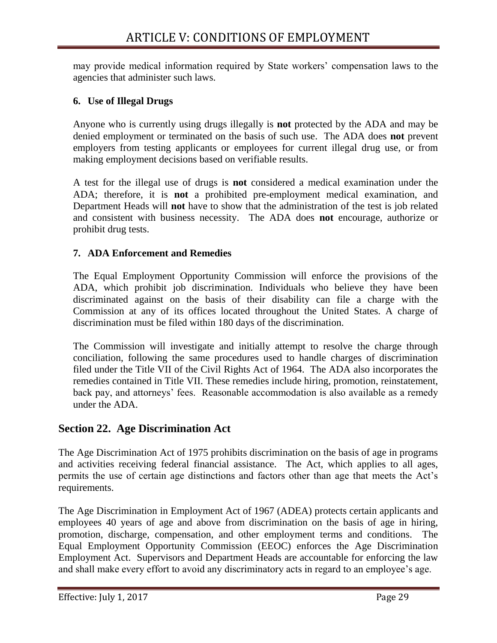may provide medical information required by State workers' compensation laws to the agencies that administer such laws.

#### **6. Use of Illegal Drugs**

Anyone who is currently using drugs illegally is **not** protected by the ADA and may be denied employment or terminated on the basis of such use. The ADA does **not** prevent employers from testing applicants or employees for current illegal drug use, or from making employment decisions based on verifiable results.

A test for the illegal use of drugs is **not** considered a medical examination under the ADA; therefore, it is **not** a prohibited pre-employment medical examination, and Department Heads will **not** have to show that the administration of the test is job related and consistent with business necessity. The ADA does **not** encourage, authorize or prohibit drug tests.

#### **7. ADA Enforcement and Remedies**

The Equal Employment Opportunity Commission will enforce the provisions of the ADA, which prohibit job discrimination. Individuals who believe they have been discriminated against on the basis of their disability can file a charge with the Commission at any of its offices located throughout the United States. A charge of discrimination must be filed within 180 days of the discrimination.

The Commission will investigate and initially attempt to resolve the charge through conciliation, following the same procedures used to handle charges of discrimination filed under the Title VII of the Civil Rights Act of 1964. The ADA also incorporates the remedies contained in Title VII. These remedies include hiring, promotion, reinstatement, back pay, and attorneys' fees. Reasonable accommodation is also available as a remedy under the ADA.

## <span id="page-29-0"></span>**Section 22. Age Discrimination Act**

The Age Discrimination Act of 1975 prohibits discrimination on the basis of age in programs and activities receiving federal financial assistance. The Act, which applies to all ages, permits the use of certain age distinctions and factors other than age that meets the Act's requirements.

The Age Discrimination in Employment Act of 1967 (ADEA) protects certain applicants and employees 40 years of age and above from discrimination on the basis of age in hiring, promotion, discharge, compensation, and other employment terms and conditions. The Equal Employment Opportunity Commission (EEOC) enforces the Age Discrimination Employment Act. Supervisors and Department Heads are accountable for enforcing the law and shall make every effort to avoid any discriminatory acts in regard to an employee's age.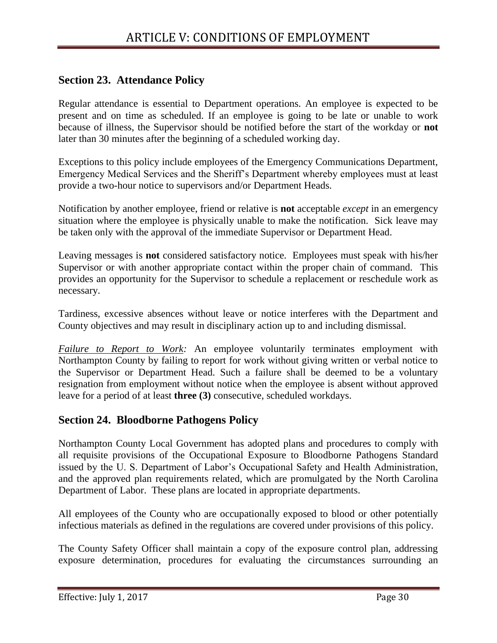# <span id="page-30-0"></span>**Section 23. Attendance Policy**

Regular attendance is essential to Department operations. An employee is expected to be present and on time as scheduled. If an employee is going to be late or unable to work because of illness, the Supervisor should be notified before the start of the workday or **not**  later than 30 minutes after the beginning of a scheduled working day.

Exceptions to this policy include employees of the Emergency Communications Department, Emergency Medical Services and the Sheriff's Department whereby employees must at least provide a two-hour notice to supervisors and/or Department Heads.

Notification by another employee, friend or relative is **not** acceptable *except* in an emergency situation where the employee is physically unable to make the notification. Sick leave may be taken only with the approval of the immediate Supervisor or Department Head.

Leaving messages is **not** considered satisfactory notice. Employees must speak with his/her Supervisor or with another appropriate contact within the proper chain of command. This provides an opportunity for the Supervisor to schedule a replacement or reschedule work as necessary.

Tardiness, excessive absences without leave or notice interferes with the Department and County objectives and may result in disciplinary action up to and including dismissal.

*Failure to Report to Work:* An employee voluntarily terminates employment with Northampton County by failing to report for work without giving written or verbal notice to the Supervisor or Department Head. Such a failure shall be deemed to be a voluntary resignation from employment without notice when the employee is absent without approved leave for a period of at least **three (3)** consecutive, scheduled workdays.

## <span id="page-30-1"></span>**Section 24. Bloodborne Pathogens Policy**

Northampton County Local Government has adopted plans and procedures to comply with all requisite provisions of the Occupational Exposure to Bloodborne Pathogens Standard issued by the U. S. Department of Labor's Occupational Safety and Health Administration, and the approved plan requirements related, which are promulgated by the North Carolina Department of Labor. These plans are located in appropriate departments.

All employees of the County who are occupationally exposed to blood or other potentially infectious materials as defined in the regulations are covered under provisions of this policy.

The County Safety Officer shall maintain a copy of the exposure control plan, addressing exposure determination, procedures for evaluating the circumstances surrounding an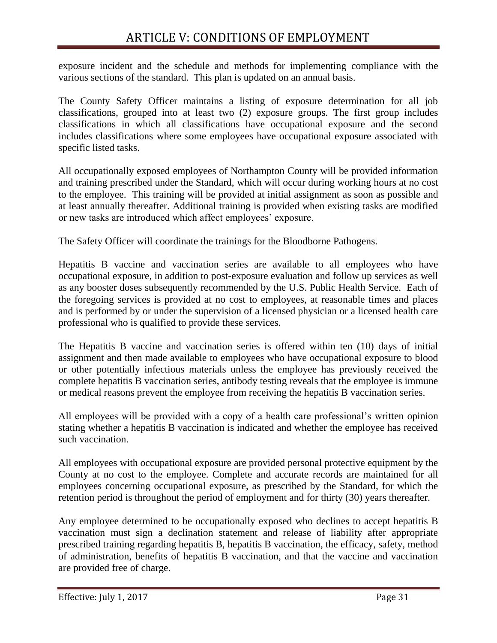exposure incident and the schedule and methods for implementing compliance with the various sections of the standard. This plan is updated on an annual basis.

The County Safety Officer maintains a listing of exposure determination for all job classifications, grouped into at least two (2) exposure groups. The first group includes classifications in which all classifications have occupational exposure and the second includes classifications where some employees have occupational exposure associated with specific listed tasks.

All occupationally exposed employees of Northampton County will be provided information and training prescribed under the Standard, which will occur during working hours at no cost to the employee. This training will be provided at initial assignment as soon as possible and at least annually thereafter. Additional training is provided when existing tasks are modified or new tasks are introduced which affect employees' exposure.

The Safety Officer will coordinate the trainings for the Bloodborne Pathogens.

Hepatitis B vaccine and vaccination series are available to all employees who have occupational exposure, in addition to post-exposure evaluation and follow up services as well as any booster doses subsequently recommended by the U.S. Public Health Service. Each of the foregoing services is provided at no cost to employees, at reasonable times and places and is performed by or under the supervision of a licensed physician or a licensed health care professional who is qualified to provide these services.

The Hepatitis B vaccine and vaccination series is offered within ten (10) days of initial assignment and then made available to employees who have occupational exposure to blood or other potentially infectious materials unless the employee has previously received the complete hepatitis B vaccination series, antibody testing reveals that the employee is immune or medical reasons prevent the employee from receiving the hepatitis B vaccination series.

All employees will be provided with a copy of a health care professional's written opinion stating whether a hepatitis B vaccination is indicated and whether the employee has received such vaccination.

All employees with occupational exposure are provided personal protective equipment by the County at no cost to the employee. Complete and accurate records are maintained for all employees concerning occupational exposure, as prescribed by the Standard, for which the retention period is throughout the period of employment and for thirty (30) years thereafter.

Any employee determined to be occupationally exposed who declines to accept hepatitis B vaccination must sign a declination statement and release of liability after appropriate prescribed training regarding hepatitis B, hepatitis B vaccination, the efficacy, safety, method of administration, benefits of hepatitis B vaccination, and that the vaccine and vaccination are provided free of charge.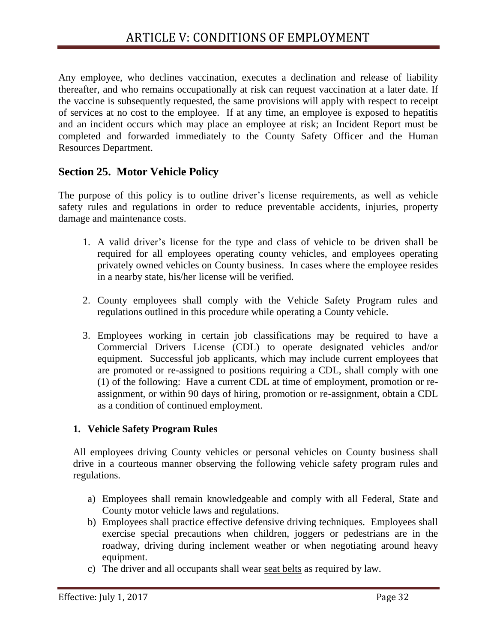Any employee, who declines vaccination, executes a declination and release of liability thereafter, and who remains occupationally at risk can request vaccination at a later date. If the vaccine is subsequently requested, the same provisions will apply with respect to receipt of services at no cost to the employee. If at any time, an employee is exposed to hepatitis and an incident occurs which may place an employee at risk; an Incident Report must be completed and forwarded immediately to the County Safety Officer and the Human Resources Department.

# <span id="page-32-0"></span>**Section 25. Motor Vehicle Policy**

The purpose of this policy is to outline driver's license requirements, as well as vehicle safety rules and regulations in order to reduce preventable accidents, injuries, property damage and maintenance costs.

- 1. A valid driver's license for the type and class of vehicle to be driven shall be required for all employees operating county vehicles, and employees operating privately owned vehicles on County business. In cases where the employee resides in a nearby state, his/her license will be verified.
- 2. County employees shall comply with the Vehicle Safety Program rules and regulations outlined in this procedure while operating a County vehicle.
- 3. Employees working in certain job classifications may be required to have a Commercial Drivers License (CDL) to operate designated vehicles and/or equipment. Successful job applicants, which may include current employees that are promoted or re-assigned to positions requiring a CDL, shall comply with one (1) of the following: Have a current CDL at time of employment, promotion or reassignment, or within 90 days of hiring, promotion or re-assignment, obtain a CDL as a condition of continued employment.

#### **1. Vehicle Safety Program Rules**

All employees driving County vehicles or personal vehicles on County business shall drive in a courteous manner observing the following vehicle safety program rules and regulations.

- a) Employees shall remain knowledgeable and comply with all Federal, State and County motor vehicle laws and regulations.
- b) Employees shall practice effective defensive driving techniques. Employees shall exercise special precautions when children, joggers or pedestrians are in the roadway, driving during inclement weather or when negotiating around heavy equipment.
- c) The driver and all occupants shall wear seat belts as required by law.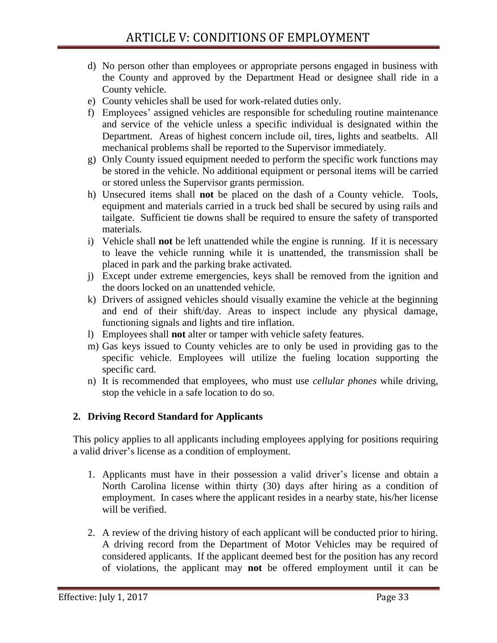- d) No person other than employees or appropriate persons engaged in business with the County and approved by the Department Head or designee shall ride in a County vehicle.
- e) County vehicles shall be used for work-related duties only.
- f) Employees' assigned vehicles are responsible for scheduling routine maintenance and service of the vehicle unless a specific individual is designated within the Department. Areas of highest concern include oil, tires, lights and seatbelts. All mechanical problems shall be reported to the Supervisor immediately.
- g) Only County issued equipment needed to perform the specific work functions may be stored in the vehicle. No additional equipment or personal items will be carried or stored unless the Supervisor grants permission.
- h) Unsecured items shall **not** be placed on the dash of a County vehicle. Tools, equipment and materials carried in a truck bed shall be secured by using rails and tailgate. Sufficient tie downs shall be required to ensure the safety of transported materials.
- i) Vehicle shall **not** be left unattended while the engine is running. If it is necessary to leave the vehicle running while it is unattended, the transmission shall be placed in park and the parking brake activated.
- j) Except under extreme emergencies, keys shall be removed from the ignition and the doors locked on an unattended vehicle.
- k) Drivers of assigned vehicles should visually examine the vehicle at the beginning and end of their shift/day. Areas to inspect include any physical damage, functioning signals and lights and tire inflation.
- l) Employees shall **not** alter or tamper with vehicle safety features.
- m) Gas keys issued to County vehicles are to only be used in providing gas to the specific vehicle. Employees will utilize the fueling location supporting the specific card.
- n) It is recommended that employees, who must use *cellular phones* while driving, stop the vehicle in a safe location to do so.

## **2. Driving Record Standard for Applicants**

This policy applies to all applicants including employees applying for positions requiring a valid driver's license as a condition of employment.

- 1. Applicants must have in their possession a valid driver's license and obtain a North Carolina license within thirty (30) days after hiring as a condition of employment. In cases where the applicant resides in a nearby state, his/her license will be verified.
- 2. A review of the driving history of each applicant will be conducted prior to hiring. A driving record from the Department of Motor Vehicles may be required of considered applicants. If the applicant deemed best for the position has any record of violations, the applicant may **not** be offered employment until it can be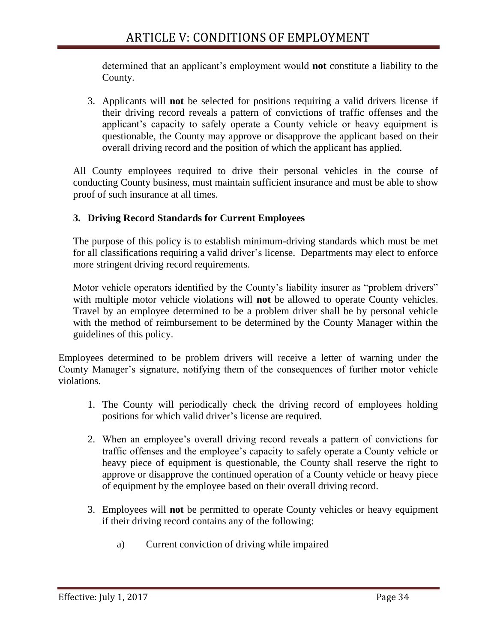determined that an applicant's employment would **not** constitute a liability to the County.

3. Applicants will **not** be selected for positions requiring a valid drivers license if their driving record reveals a pattern of convictions of traffic offenses and the applicant's capacity to safely operate a County vehicle or heavy equipment is questionable, the County may approve or disapprove the applicant based on their overall driving record and the position of which the applicant has applied.

All County employees required to drive their personal vehicles in the course of conducting County business, must maintain sufficient insurance and must be able to show proof of such insurance at all times.

## **3. Driving Record Standards for Current Employees**

The purpose of this policy is to establish minimum-driving standards which must be met for all classifications requiring a valid driver's license. Departments may elect to enforce more stringent driving record requirements.

Motor vehicle operators identified by the County's liability insurer as "problem drivers" with multiple motor vehicle violations will **not** be allowed to operate County vehicles. Travel by an employee determined to be a problem driver shall be by personal vehicle with the method of reimbursement to be determined by the County Manager within the guidelines of this policy.

Employees determined to be problem drivers will receive a letter of warning under the County Manager's signature, notifying them of the consequences of further motor vehicle violations.

- 1. The County will periodically check the driving record of employees holding positions for which valid driver's license are required.
- 2. When an employee's overall driving record reveals a pattern of convictions for traffic offenses and the employee's capacity to safely operate a County vehicle or heavy piece of equipment is questionable, the County shall reserve the right to approve or disapprove the continued operation of a County vehicle or heavy piece of equipment by the employee based on their overall driving record.
- 3. Employees will **not** be permitted to operate County vehicles or heavy equipment if their driving record contains any of the following:
	- a) Current conviction of driving while impaired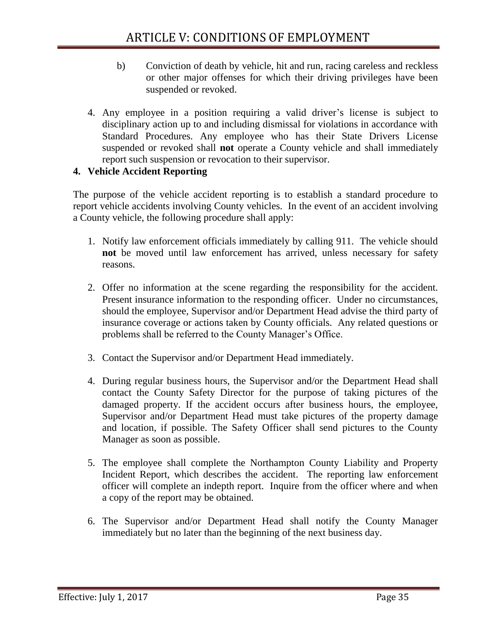- b) Conviction of death by vehicle, hit and run, racing careless and reckless or other major offenses for which their driving privileges have been suspended or revoked.
- 4. Any employee in a position requiring a valid driver's license is subject to disciplinary action up to and including dismissal for violations in accordance with Standard Procedures. Any employee who has their State Drivers License suspended or revoked shall **not** operate a County vehicle and shall immediately report such suspension or revocation to their supervisor.

## **4. Vehicle Accident Reporting**

The purpose of the vehicle accident reporting is to establish a standard procedure to report vehicle accidents involving County vehicles. In the event of an accident involving a County vehicle, the following procedure shall apply:

- 1. Notify law enforcement officials immediately by calling 911. The vehicle should **not** be moved until law enforcement has arrived, unless necessary for safety reasons.
- 2. Offer no information at the scene regarding the responsibility for the accident. Present insurance information to the responding officer. Under no circumstances, should the employee, Supervisor and/or Department Head advise the third party of insurance coverage or actions taken by County officials. Any related questions or problems shall be referred to the County Manager's Office.
- 3. Contact the Supervisor and/or Department Head immediately.
- 4. During regular business hours, the Supervisor and/or the Department Head shall contact the County Safety Director for the purpose of taking pictures of the damaged property. If the accident occurs after business hours, the employee, Supervisor and/or Department Head must take pictures of the property damage and location, if possible. The Safety Officer shall send pictures to the County Manager as soon as possible.
- 5. The employee shall complete the Northampton County Liability and Property Incident Report, which describes the accident. The reporting law enforcement officer will complete an indepth report. Inquire from the officer where and when a copy of the report may be obtained.
- 6. The Supervisor and/or Department Head shall notify the County Manager immediately but no later than the beginning of the next business day.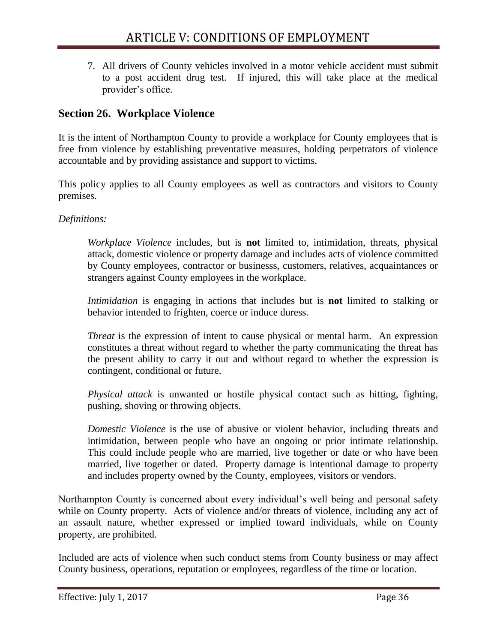7. All drivers of County vehicles involved in a motor vehicle accident must submit to a post accident drug test. If injured, this will take place at the medical provider's office.

# <span id="page-36-0"></span>**Section 26. Workplace Violence**

It is the intent of Northampton County to provide a workplace for County employees that is free from violence by establishing preventative measures, holding perpetrators of violence accountable and by providing assistance and support to victims.

This policy applies to all County employees as well as contractors and visitors to County premises.

*Definitions:*

*Workplace Violence* includes, but is **not** limited to, intimidation, threats, physical attack, domestic violence or property damage and includes acts of violence committed by County employees, contractor or businesss, customers, relatives, acquaintances or strangers against County employees in the workplace.

*Intimidation* is engaging in actions that includes but is **not** limited to stalking or behavior intended to frighten, coerce or induce duress.

*Threat* is the expression of intent to cause physical or mental harm. An expression constitutes a threat without regard to whether the party communicating the threat has the present ability to carry it out and without regard to whether the expression is contingent, conditional or future.

*Physical attack* is unwanted or hostile physical contact such as hitting, fighting, pushing, shoving or throwing objects.

*Domestic Violence* is the use of abusive or violent behavior, including threats and intimidation, between people who have an ongoing or prior intimate relationship. This could include people who are married, live together or date or who have been married, live together or dated. Property damage is intentional damage to property and includes property owned by the County, employees, visitors or vendors.

Northampton County is concerned about every individual's well being and personal safety while on County property. Acts of violence and/or threats of violence, including any act of an assault nature, whether expressed or implied toward individuals, while on County property, are prohibited.

Included are acts of violence when such conduct stems from County business or may affect County business, operations, reputation or employees, regardless of the time or location.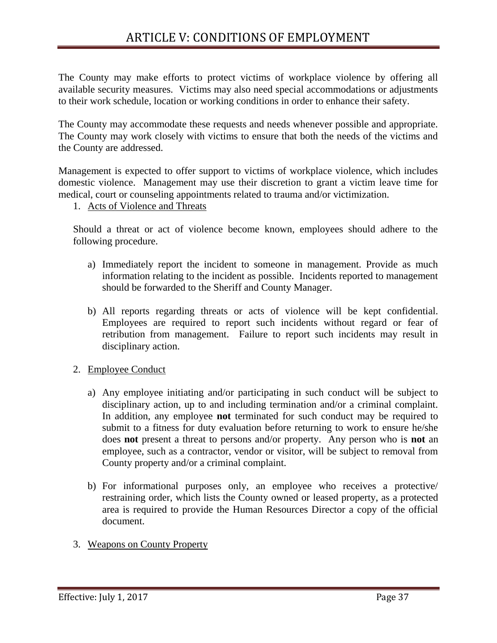The County may make efforts to protect victims of workplace violence by offering all available security measures. Victims may also need special accommodations or adjustments to their work schedule, location or working conditions in order to enhance their safety.

The County may accommodate these requests and needs whenever possible and appropriate. The County may work closely with victims to ensure that both the needs of the victims and the County are addressed.

Management is expected to offer support to victims of workplace violence, which includes domestic violence. Management may use their discretion to grant a victim leave time for medical, court or counseling appointments related to trauma and/or victimization.

#### 1. Acts of Violence and Threats

Should a threat or act of violence become known, employees should adhere to the following procedure.

- a) Immediately report the incident to someone in management. Provide as much information relating to the incident as possible. Incidents reported to management should be forwarded to the Sheriff and County Manager.
- b) All reports regarding threats or acts of violence will be kept confidential. Employees are required to report such incidents without regard or fear of retribution from management. Failure to report such incidents may result in disciplinary action.
- 2. Employee Conduct
	- a) Any employee initiating and/or participating in such conduct will be subject to disciplinary action, up to and including termination and/or a criminal complaint. In addition, any employee **not** terminated for such conduct may be required to submit to a fitness for duty evaluation before returning to work to ensure he/she does **not** present a threat to persons and/or property. Any person who is **not** an employee, such as a contractor, vendor or visitor, will be subject to removal from County property and/or a criminal complaint.
	- b) For informational purposes only, an employee who receives a protective/ restraining order, which lists the County owned or leased property, as a protected area is required to provide the Human Resources Director a copy of the official document.
- 3. Weapons on County Property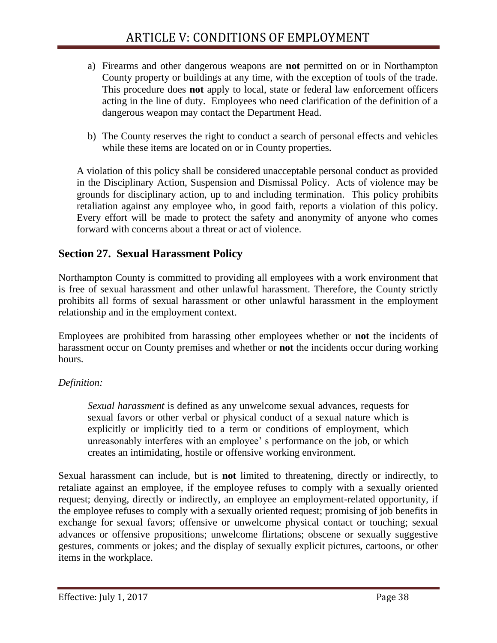- a) Firearms and other dangerous weapons are **not** permitted on or in Northampton County property or buildings at any time, with the exception of tools of the trade. This procedure does **not** apply to local, state or federal law enforcement officers acting in the line of duty. Employees who need clarification of the definition of a dangerous weapon may contact the Department Head.
- b) The County reserves the right to conduct a search of personal effects and vehicles while these items are located on or in County properties.

A violation of this policy shall be considered unacceptable personal conduct as provided in the Disciplinary Action, Suspension and Dismissal Policy. Acts of violence may be grounds for disciplinary action, up to and including termination. This policy prohibits retaliation against any employee who, in good faith, reports a violation of this policy. Every effort will be made to protect the safety and anonymity of anyone who comes forward with concerns about a threat or act of violence.

# <span id="page-38-0"></span>**Section 27. Sexual Harassment Policy**

Northampton County is committed to providing all employees with a work environment that is free of sexual harassment and other unlawful harassment. Therefore, the County strictly prohibits all forms of sexual harassment or other unlawful harassment in the employment relationship and in the employment context.

Employees are prohibited from harassing other employees whether or **not** the incidents of harassment occur on County premises and whether or **not** the incidents occur during working hours.

## *Definition:*

*Sexual harassment* is defined as any unwelcome sexual advances, requests for sexual favors or other verbal or physical conduct of a sexual nature which is explicitly or implicitly tied to a term or conditions of employment, which unreasonably interferes with an employee' s performance on the job, or which creates an intimidating, hostile or offensive working environment.

Sexual harassment can include, but is **not** limited to threatening, directly or indirectly, to retaliate against an employee, if the employee refuses to comply with a sexually oriented request; denying, directly or indirectly, an employee an employment-related opportunity, if the employee refuses to comply with a sexually oriented request; promising of job benefits in exchange for sexual favors; offensive or unwelcome physical contact or touching; sexual advances or offensive propositions; unwelcome flirtations; obscene or sexually suggestive gestures, comments or jokes; and the display of sexually explicit pictures, cartoons, or other items in the workplace.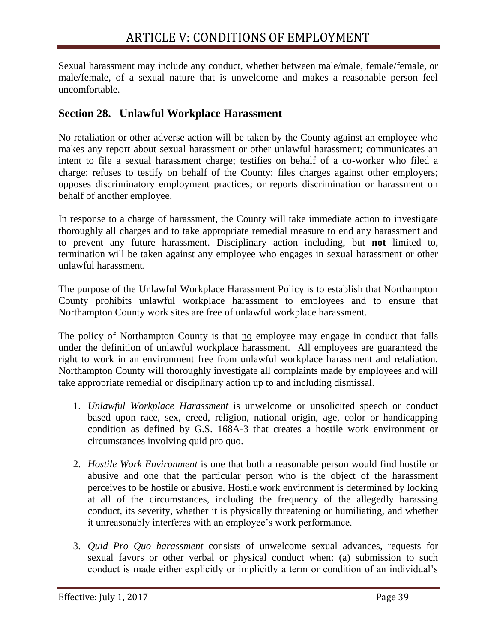Sexual harassment may include any conduct, whether between male/male, female/female, or male/female, of a sexual nature that is unwelcome and makes a reasonable person feel uncomfortable.

# <span id="page-39-0"></span>**Section 28. Unlawful Workplace Harassment**

No retaliation or other adverse action will be taken by the County against an employee who makes any report about sexual harassment or other unlawful harassment; communicates an intent to file a sexual harassment charge; testifies on behalf of a co-worker who filed a charge; refuses to testify on behalf of the County; files charges against other employers; opposes discriminatory employment practices; or reports discrimination or harassment on behalf of another employee.

In response to a charge of harassment, the County will take immediate action to investigate thoroughly all charges and to take appropriate remedial measure to end any harassment and to prevent any future harassment. Disciplinary action including, but **not** limited to, termination will be taken against any employee who engages in sexual harassment or other unlawful harassment.

The purpose of the Unlawful Workplace Harassment Policy is to establish that Northampton County prohibits unlawful workplace harassment to employees and to ensure that Northampton County work sites are free of unlawful workplace harassment.

The policy of Northampton County is that no employee may engage in conduct that falls under the definition of unlawful workplace harassment. All employees are guaranteed the right to work in an environment free from unlawful workplace harassment and retaliation. Northampton County will thoroughly investigate all complaints made by employees and will take appropriate remedial or disciplinary action up to and including dismissal.

- 1. *Unlawful Workplace Harassment* is unwelcome or unsolicited speech or conduct based upon race, sex, creed, religion, national origin, age, color or handicapping condition as defined by G.S. 168A-3 that creates a hostile work environment or circumstances involving quid pro quo.
- 2. *Hostile Work Environment* is one that both a reasonable person would find hostile or abusive and one that the particular person who is the object of the harassment perceives to be hostile or abusive. Hostile work environment is determined by looking at all of the circumstances, including the frequency of the allegedly harassing conduct, its severity, whether it is physically threatening or humiliating, and whether it unreasonably interferes with an employee's work performance.
- 3. *Quid Pro Quo harassment* consists of unwelcome sexual advances, requests for sexual favors or other verbal or physical conduct when: (a) submission to such conduct is made either explicitly or implicitly a term or condition of an individual's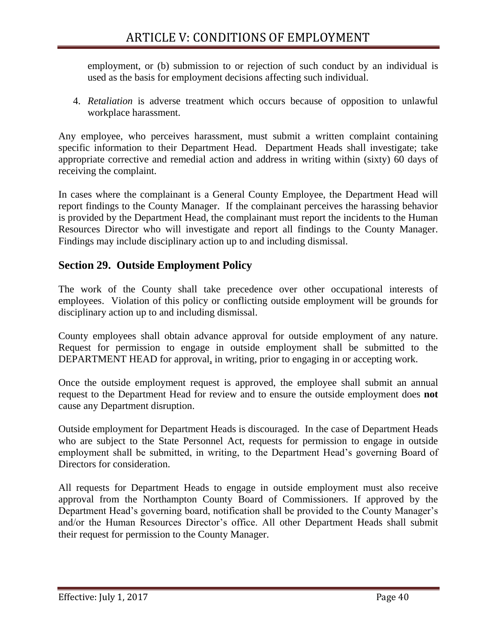employment, or (b) submission to or rejection of such conduct by an individual is used as the basis for employment decisions affecting such individual.

4. *Retaliation* is adverse treatment which occurs because of opposition to unlawful workplace harassment.

Any employee, who perceives harassment, must submit a written complaint containing specific information to their Department Head. Department Heads shall investigate; take appropriate corrective and remedial action and address in writing within (sixty) 60 days of receiving the complaint.

In cases where the complainant is a General County Employee, the Department Head will report findings to the County Manager. If the complainant perceives the harassing behavior is provided by the Department Head, the complainant must report the incidents to the Human Resources Director who will investigate and report all findings to the County Manager. Findings may include disciplinary action up to and including dismissal.

# <span id="page-40-0"></span>**Section 29. Outside Employment Policy**

The work of the County shall take precedence over other occupational interests of employees. Violation of this policy or conflicting outside employment will be grounds for disciplinary action up to and including dismissal.

County employees shall obtain advance approval for outside employment of any nature. Request for permission to engage in outside employment shall be submitted to the DEPARTMENT HEAD for approval, in writing, prior to engaging in or accepting work.

Once the outside employment request is approved, the employee shall submit an annual request to the Department Head for review and to ensure the outside employment does **not**  cause any Department disruption.

Outside employment for Department Heads is discouraged. In the case of Department Heads who are subject to the State Personnel Act, requests for permission to engage in outside employment shall be submitted, in writing, to the Department Head's governing Board of Directors for consideration.

All requests for Department Heads to engage in outside employment must also receive approval from the Northampton County Board of Commissioners. If approved by the Department Head's governing board, notification shall be provided to the County Manager's and/or the Human Resources Director's office. All other Department Heads shall submit their request for permission to the County Manager.